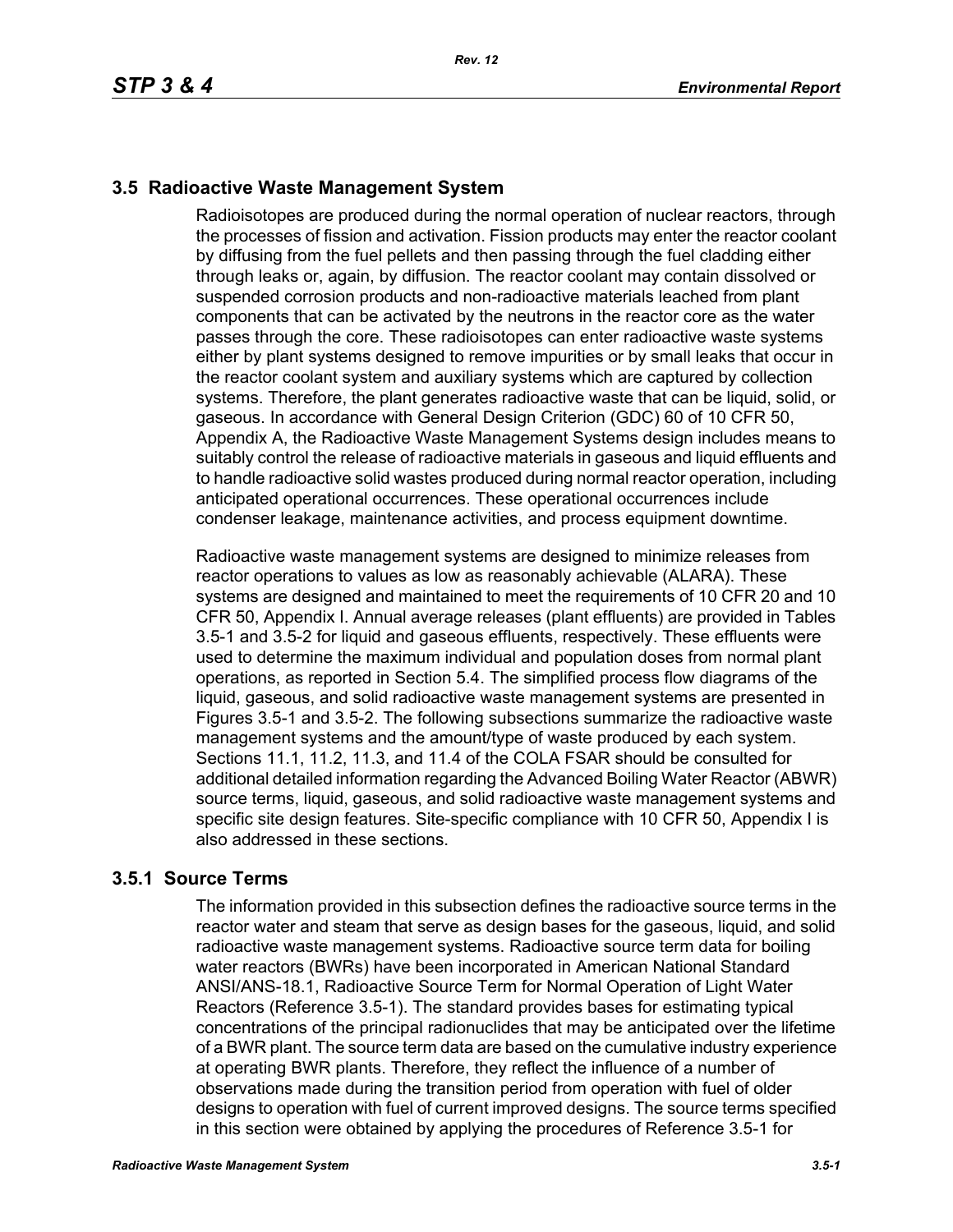# **3.5 Radioactive Waste Management System**

Radioisotopes are produced during the normal operation of nuclear reactors, through the processes of fission and activation. Fission products may enter the reactor coolant by diffusing from the fuel pellets and then passing through the fuel cladding either through leaks or, again, by diffusion. The reactor coolant may contain dissolved or suspended corrosion products and non-radioactive materials leached from plant components that can be activated by the neutrons in the reactor core as the water passes through the core. These radioisotopes can enter radioactive waste systems either by plant systems designed to remove impurities or by small leaks that occur in the reactor coolant system and auxiliary systems which are captured by collection systems. Therefore, the plant generates radioactive waste that can be liquid, solid, or gaseous. In accordance with General Design Criterion (GDC) 60 of 10 CFR 50, Appendix A, the Radioactive Waste Management Systems design includes means to suitably control the release of radioactive materials in gaseous and liquid effluents and to handle radioactive solid wastes produced during normal reactor operation, including anticipated operational occurrences. These operational occurrences include condenser leakage, maintenance activities, and process equipment downtime.

Radioactive waste management systems are designed to minimize releases from reactor operations to values as low as reasonably achievable (ALARA). These systems are designed and maintained to meet the requirements of 10 CFR 20 and 10 CFR 50, Appendix I. Annual average releases (plant effluents) are provided in Tables 3.5-1 and 3.5-2 for liquid and gaseous effluents, respectively. These effluents were used to determine the maximum individual and population doses from normal plant operations, as reported in Section 5.4. The simplified process flow diagrams of the liquid, gaseous, and solid radioactive waste management systems are presented in Figures 3.5-1 and 3.5-2. The following subsections summarize the radioactive waste management systems and the amount/type of waste produced by each system. Sections 11.1, 11.2, 11.3, and 11.4 of the COLA FSAR should be consulted for additional detailed information regarding the Advanced Boiling Water Reactor (ABWR) source terms, liquid, gaseous, and solid radioactive waste management systems and specific site design features. Site-specific compliance with 10 CFR 50, Appendix I is also addressed in these sections.

# **3.5.1 Source Terms**

The information provided in this subsection defines the radioactive source terms in the reactor water and steam that serve as design bases for the gaseous, liquid, and solid radioactive waste management systems. Radioactive source term data for boiling water reactors (BWRs) have been incorporated in American National Standard ANSI/ANS-18.1, Radioactive Source Term for Normal Operation of Light Water Reactors (Reference 3.5-1). The standard provides bases for estimating typical concentrations of the principal radionuclides that may be anticipated over the lifetime of a BWR plant. The source term data are based on the cumulative industry experience at operating BWR plants. Therefore, they reflect the influence of a number of observations made during the transition period from operation with fuel of older designs to operation with fuel of current improved designs. The source terms specified in this section were obtained by applying the procedures of Reference 3.5-1 for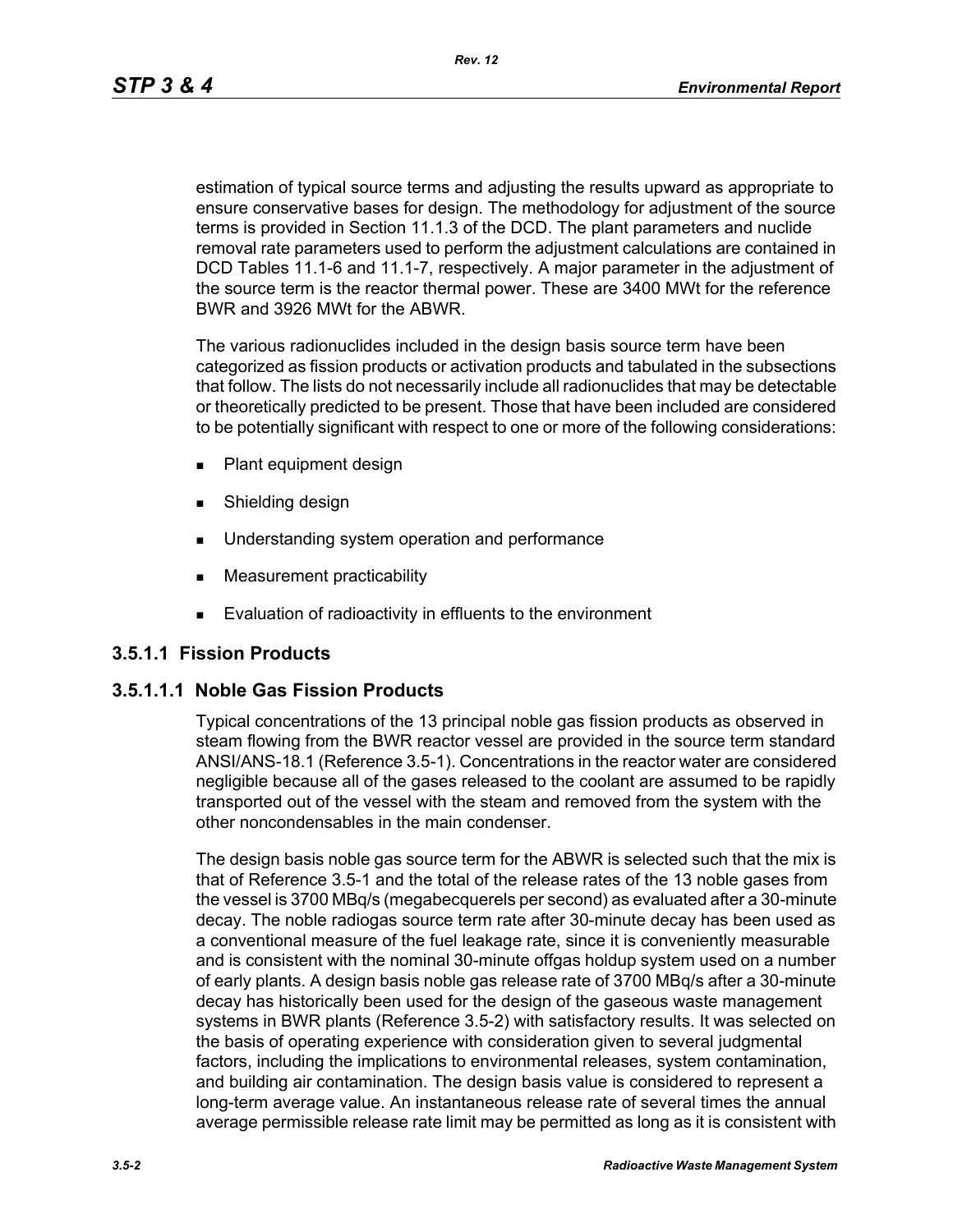*Rev. 12*

estimation of typical source terms and adjusting the results upward as appropriate to ensure conservative bases for design. The methodology for adjustment of the source terms is provided in Section 11.1.3 of the DCD. The plant parameters and nuclide removal rate parameters used to perform the adjustment calculations are contained in DCD Tables 11.1-6 and 11.1-7, respectively. A major parameter in the adjustment of the source term is the reactor thermal power. These are 3400 MWt for the reference BWR and 3926 MWt for the ABWR.

The various radionuclides included in the design basis source term have been categorized as fission products or activation products and tabulated in the subsections that follow. The lists do not necessarily include all radionuclides that may be detectable or theoretically predicted to be present. Those that have been included are considered to be potentially significant with respect to one or more of the following considerations:

- **Plant equipment design**
- **Burnelling design**
- **Understanding system operation and performance**
- **Measurement practicability**
- **Evaluation of radioactivity in effluents to the environment**

# **3.5.1.1 Fission Products**

# **3.5.1.1.1 Noble Gas Fission Products**

Typical concentrations of the 13 principal noble gas fission products as observed in steam flowing from the BWR reactor vessel are provided in the source term standard ANSI/ANS-18.1 (Reference 3.5-1). Concentrations in the reactor water are considered negligible because all of the gases released to the coolant are assumed to be rapidly transported out of the vessel with the steam and removed from the system with the other noncondensables in the main condenser.

The design basis noble gas source term for the ABWR is selected such that the mix is that of Reference 3.5-1 and the total of the release rates of the 13 noble gases from the vessel is 3700 MBq/s (megabecquerels per second) as evaluated after a 30-minute decay. The noble radiogas source term rate after 30-minute decay has been used as a conventional measure of the fuel leakage rate, since it is conveniently measurable and is consistent with the nominal 30-minute offgas holdup system used on a number of early plants. A design basis noble gas release rate of 3700 MBq/s after a 30-minute decay has historically been used for the design of the gaseous waste management systems in BWR plants (Reference 3.5-2) with satisfactory results. It was selected on the basis of operating experience with consideration given to several judgmental factors, including the implications to environmental releases, system contamination, and building air contamination. The design basis value is considered to represent a long-term average value. An instantaneous release rate of several times the annual average permissible release rate limit may be permitted as long as it is consistent with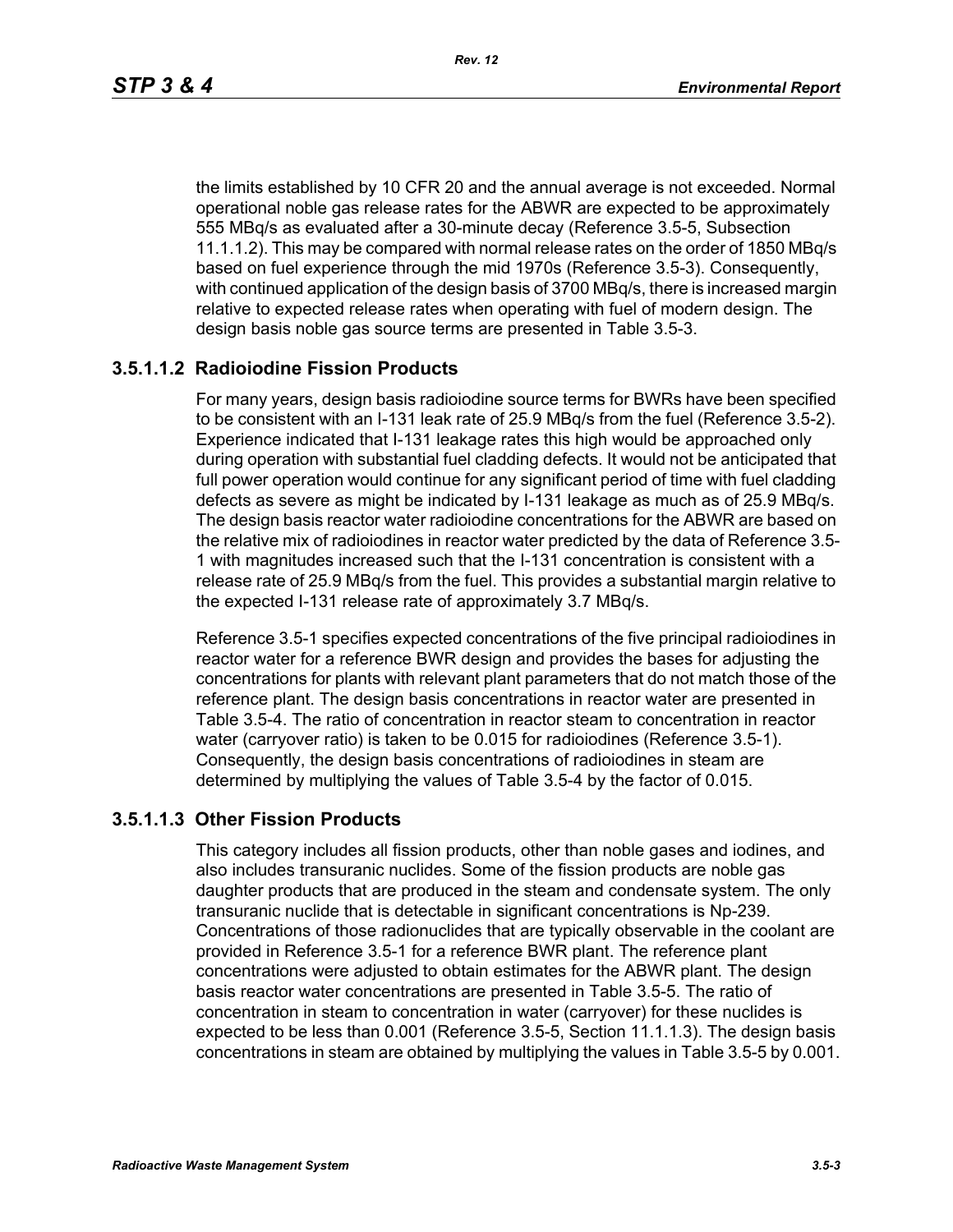the limits established by 10 CFR 20 and the annual average is not exceeded. Normal operational noble gas release rates for the ABWR are expected to be approximately 555 MBq/s as evaluated after a 30-minute decay (Reference 3.5-5, Subsection 11.1.1.2). This may be compared with normal release rates on the order of 1850 MBq/s based on fuel experience through the mid 1970s (Reference 3.5-3). Consequently, with continued application of the design basis of 3700 MBq/s, there is increased margin relative to expected release rates when operating with fuel of modern design. The design basis noble gas source terms are presented in Table 3.5-3.

# **3.5.1.1.2 Radioiodine Fission Products**

For many years, design basis radioiodine source terms for BWRs have been specified to be consistent with an I-131 leak rate of 25.9 MBq/s from the fuel (Reference 3.5-2). Experience indicated that I-131 leakage rates this high would be approached only during operation with substantial fuel cladding defects. It would not be anticipated that full power operation would continue for any significant period of time with fuel cladding defects as severe as might be indicated by I-131 leakage as much as of 25.9 MBq/s. The design basis reactor water radioiodine concentrations for the ABWR are based on the relative mix of radioiodines in reactor water predicted by the data of Reference 3.5- 1 with magnitudes increased such that the I-131 concentration is consistent with a release rate of 25.9 MBq/s from the fuel. This provides a substantial margin relative to the expected I-131 release rate of approximately 3.7 MBq/s.

Reference 3.5-1 specifies expected concentrations of the five principal radioiodines in reactor water for a reference BWR design and provides the bases for adjusting the concentrations for plants with relevant plant parameters that do not match those of the reference plant. The design basis concentrations in reactor water are presented in Table 3.5-4. The ratio of concentration in reactor steam to concentration in reactor water (carryover ratio) is taken to be 0.015 for radioiodines (Reference 3.5-1). Consequently, the design basis concentrations of radioiodines in steam are determined by multiplying the values of Table 3.5-4 by the factor of 0.015.

### **3.5.1.1.3 Other Fission Products**

This category includes all fission products, other than noble gases and iodines, and also includes transuranic nuclides. Some of the fission products are noble gas daughter products that are produced in the steam and condensate system. The only transuranic nuclide that is detectable in significant concentrations is Np-239. Concentrations of those radionuclides that are typically observable in the coolant are provided in Reference 3.5-1 for a reference BWR plant. The reference plant concentrations were adjusted to obtain estimates for the ABWR plant. The design basis reactor water concentrations are presented in Table 3.5-5. The ratio of concentration in steam to concentration in water (carryover) for these nuclides is expected to be less than 0.001 (Reference 3.5-5, Section 11.1.1.3). The design basis concentrations in steam are obtained by multiplying the values in Table 3.5-5 by 0.001.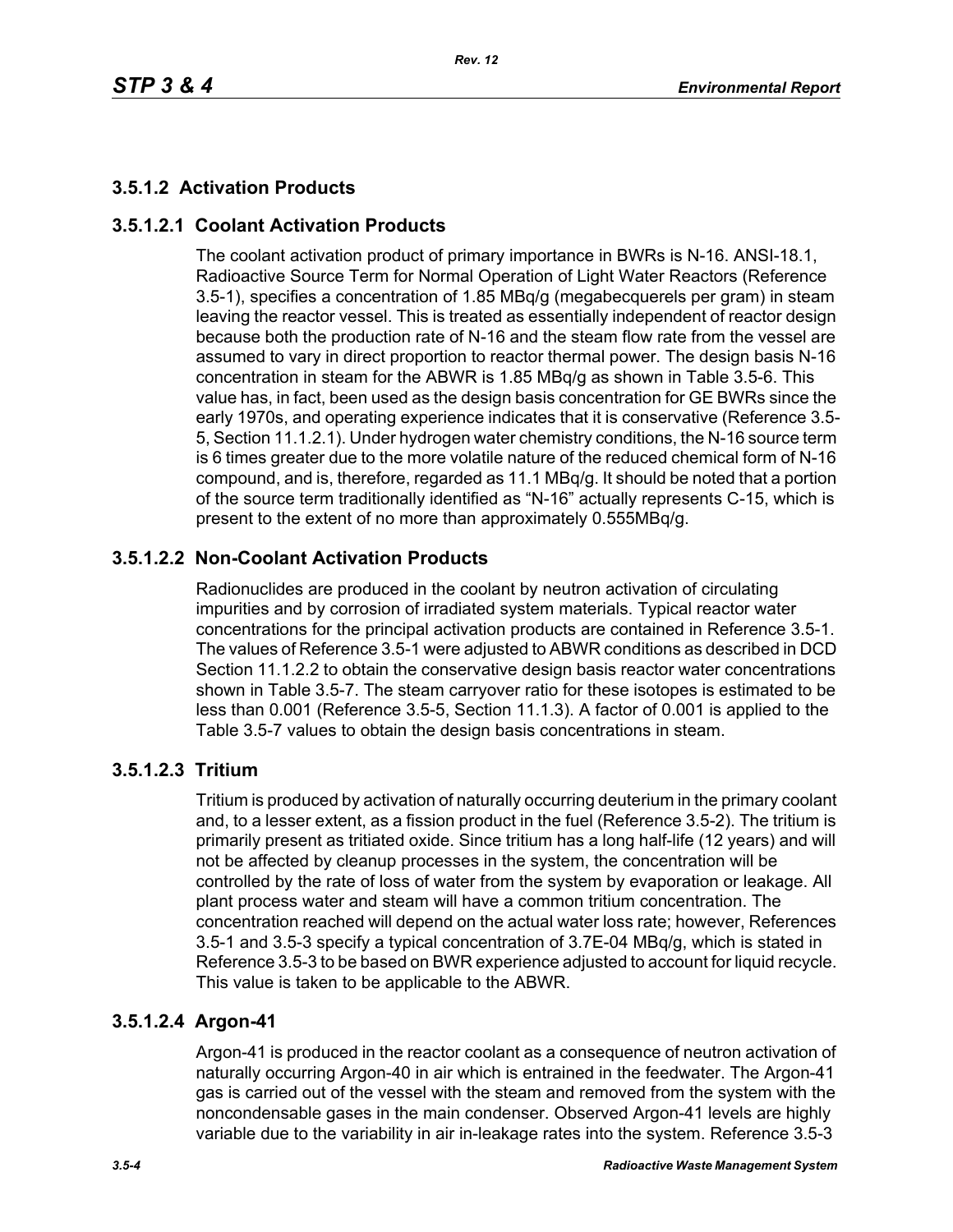# **3.5.1.2 Activation Products**

# **3.5.1.2.1 Coolant Activation Products**

The coolant activation product of primary importance in BWRs is N-16. ANSI-18.1, Radioactive Source Term for Normal Operation of Light Water Reactors (Reference 3.5-1), specifies a concentration of 1.85 MBq/g (megabecquerels per gram) in steam leaving the reactor vessel. This is treated as essentially independent of reactor design because both the production rate of N-16 and the steam flow rate from the vessel are assumed to vary in direct proportion to reactor thermal power. The design basis N-16 concentration in steam for the ABWR is 1.85 MBq/g as shown in Table 3.5-6. This value has, in fact, been used as the design basis concentration for GE BWRs since the early 1970s, and operating experience indicates that it is conservative (Reference 3.5- 5, Section 11.1.2.1). Under hydrogen water chemistry conditions, the N-16 source term is 6 times greater due to the more volatile nature of the reduced chemical form of N-16 compound, and is, therefore, regarded as 11.1 MBq/g. It should be noted that a portion of the source term traditionally identified as "N-16" actually represents C-15, which is present to the extent of no more than approximately 0.555MBq/g.

# **3.5.1.2.2 Non-Coolant Activation Products**

Radionuclides are produced in the coolant by neutron activation of circulating impurities and by corrosion of irradiated system materials. Typical reactor water concentrations for the principal activation products are contained in Reference 3.5-1. The values of Reference 3.5-1 were adjusted to ABWR conditions as described in DCD Section 11.1.2.2 to obtain the conservative design basis reactor water concentrations shown in Table 3.5-7. The steam carryover ratio for these isotopes is estimated to be less than 0.001 (Reference 3.5-5, Section 11.1.3). A factor of 0.001 is applied to the Table 3.5-7 values to obtain the design basis concentrations in steam.

# **3.5.1.2.3 Tritium**

Tritium is produced by activation of naturally occurring deuterium in the primary coolant and, to a lesser extent, as a fission product in the fuel (Reference 3.5-2). The tritium is primarily present as tritiated oxide. Since tritium has a long half-life (12 years) and will not be affected by cleanup processes in the system, the concentration will be controlled by the rate of loss of water from the system by evaporation or leakage. All plant process water and steam will have a common tritium concentration. The concentration reached will depend on the actual water loss rate; however, References 3.5-1 and 3.5-3 specify a typical concentration of 3.7E-04 MBq/g, which is stated in Reference 3.5-3 to be based on BWR experience adjusted to account for liquid recycle. This value is taken to be applicable to the ABWR.

# **3.5.1.2.4 Argon-41**

Argon-41 is produced in the reactor coolant as a consequence of neutron activation of naturally occurring Argon-40 in air which is entrained in the feedwater. The Argon-41 gas is carried out of the vessel with the steam and removed from the system with the noncondensable gases in the main condenser. Observed Argon-41 levels are highly variable due to the variability in air in-leakage rates into the system. Reference 3.5-3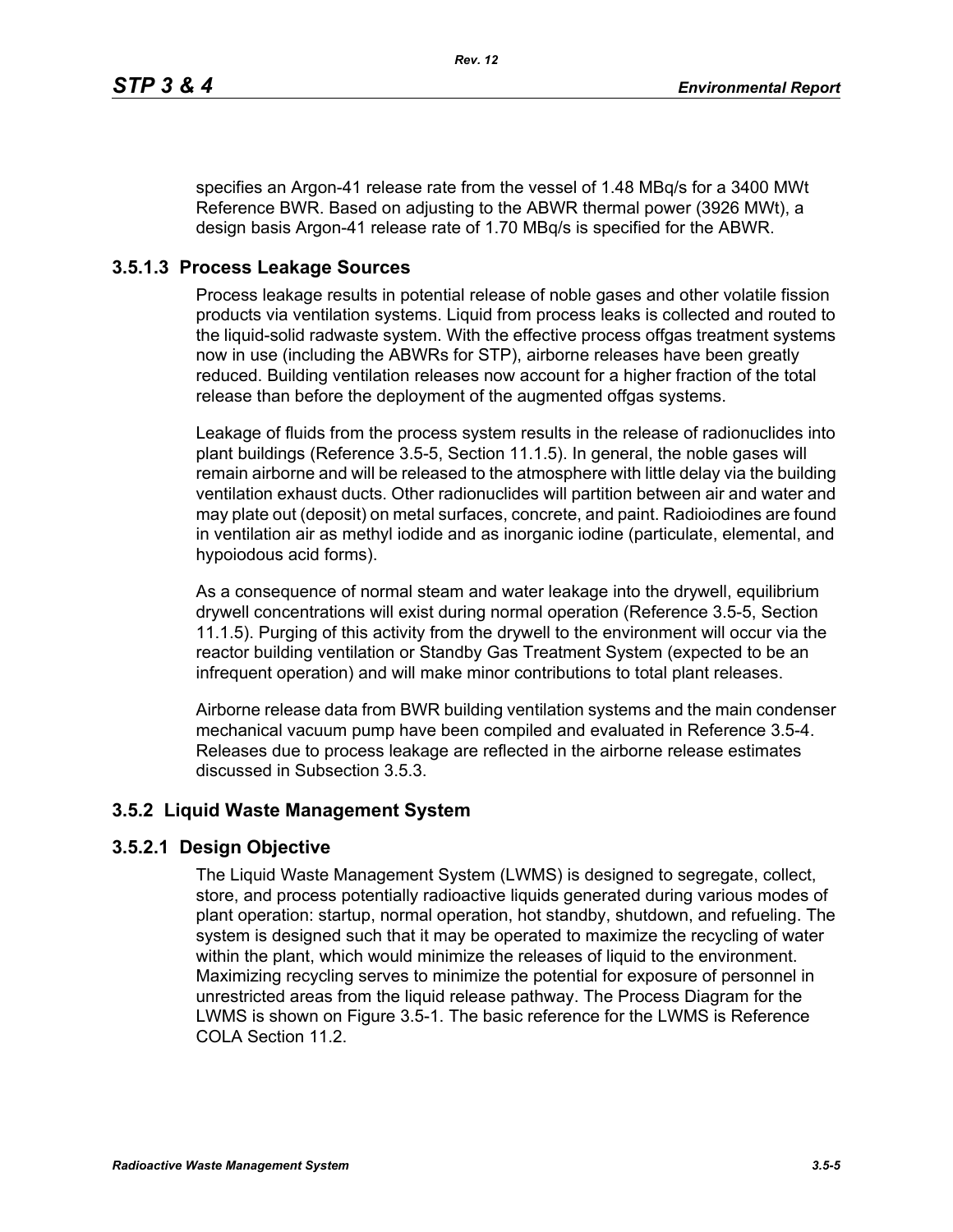specifies an Argon-41 release rate from the vessel of 1.48 MBq/s for a 3400 MWt Reference BWR. Based on adjusting to the ABWR thermal power (3926 MWt), a design basis Argon-41 release rate of 1.70 MBq/s is specified for the ABWR.

# **3.5.1.3 Process Leakage Sources**

Process leakage results in potential release of noble gases and other volatile fission products via ventilation systems. Liquid from process leaks is collected and routed to the liquid-solid radwaste system. With the effective process offgas treatment systems now in use (including the ABWRs for STP), airborne releases have been greatly reduced. Building ventilation releases now account for a higher fraction of the total release than before the deployment of the augmented offgas systems.

Leakage of fluids from the process system results in the release of radionuclides into plant buildings (Reference 3.5-5, Section 11.1.5). In general, the noble gases will remain airborne and will be released to the atmosphere with little delay via the building ventilation exhaust ducts. Other radionuclides will partition between air and water and may plate out (deposit) on metal surfaces, concrete, and paint. Radioiodines are found in ventilation air as methyl iodide and as inorganic iodine (particulate, elemental, and hypoiodous acid forms).

As a consequence of normal steam and water leakage into the drywell, equilibrium drywell concentrations will exist during normal operation (Reference 3.5-5, Section 11.1.5). Purging of this activity from the drywell to the environment will occur via the reactor building ventilation or Standby Gas Treatment System (expected to be an infrequent operation) and will make minor contributions to total plant releases.

Airborne release data from BWR building ventilation systems and the main condenser mechanical vacuum pump have been compiled and evaluated in Reference 3.5-4. Releases due to process leakage are reflected in the airborne release estimates discussed in Subsection 3.5.3.

# **3.5.2 Liquid Waste Management System**

# **3.5.2.1 Design Objective**

The Liquid Waste Management System (LWMS) is designed to segregate, collect, store, and process potentially radioactive liquids generated during various modes of plant operation: startup, normal operation, hot standby, shutdown, and refueling. The system is designed such that it may be operated to maximize the recycling of water within the plant, which would minimize the releases of liquid to the environment. Maximizing recycling serves to minimize the potential for exposure of personnel in unrestricted areas from the liquid release pathway. The Process Diagram for the LWMS is shown on Figure 3.5-1. The basic reference for the LWMS is Reference COLA Section 11.2.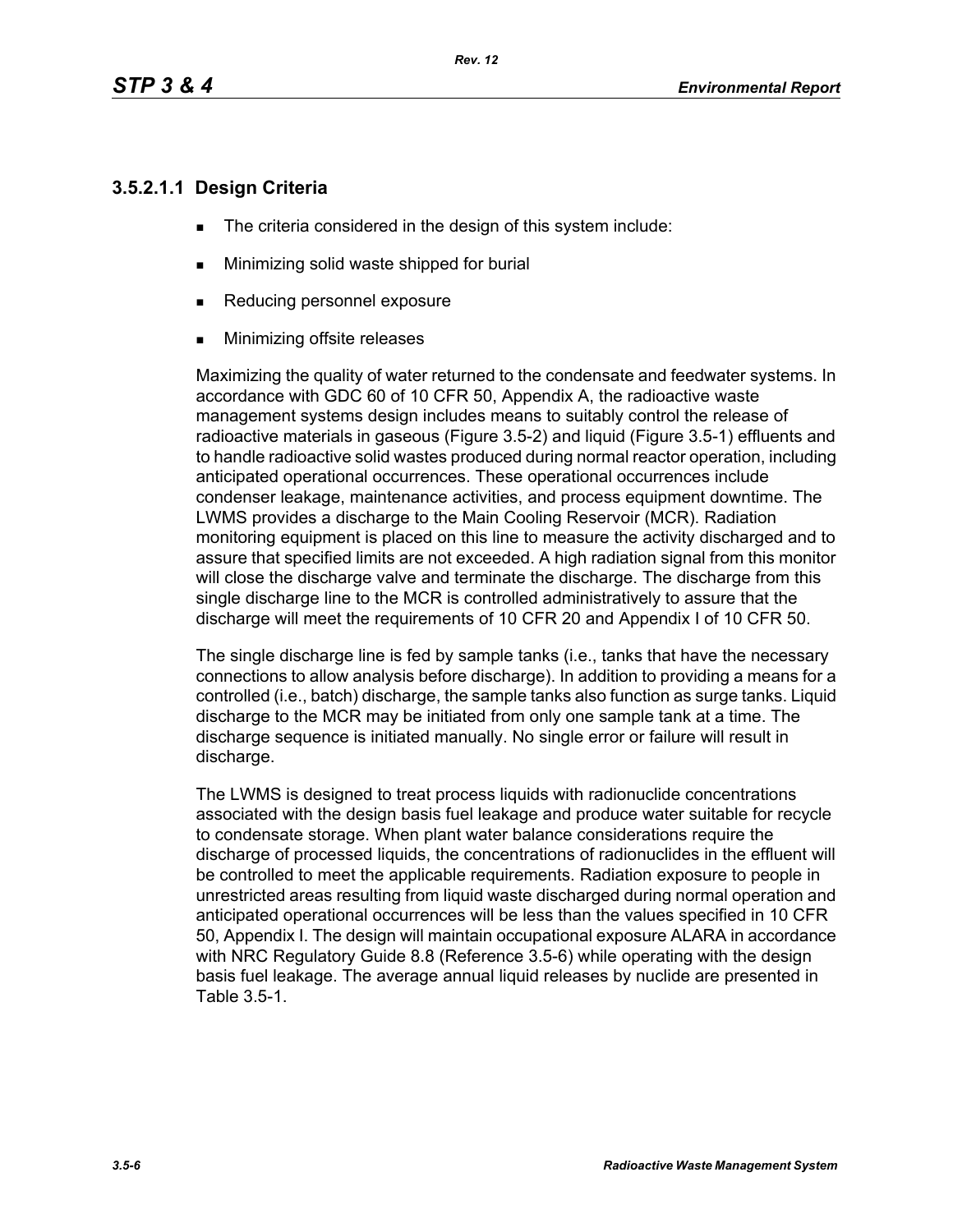# **3.5.2.1.1 Design Criteria**

- The criteria considered in the design of this system include:
- **Minimizing solid waste shipped for burial**
- Reducing personnel exposure
- **Minimizing offsite releases**

Maximizing the quality of water returned to the condensate and feedwater systems. In accordance with GDC 60 of 10 CFR 50, Appendix A, the radioactive waste management systems design includes means to suitably control the release of radioactive materials in gaseous (Figure 3.5-2) and liquid (Figure 3.5-1) effluents and to handle radioactive solid wastes produced during normal reactor operation, including anticipated operational occurrences. These operational occurrences include condenser leakage, maintenance activities, and process equipment downtime. The LWMS provides a discharge to the Main Cooling Reservoir (MCR). Radiation monitoring equipment is placed on this line to measure the activity discharged and to assure that specified limits are not exceeded. A high radiation signal from this monitor will close the discharge valve and terminate the discharge. The discharge from this single discharge line to the MCR is controlled administratively to assure that the discharge will meet the requirements of 10 CFR 20 and Appendix I of 10 CFR 50.

The single discharge line is fed by sample tanks (i.e., tanks that have the necessary connections to allow analysis before discharge). In addition to providing a means for a controlled (i.e., batch) discharge, the sample tanks also function as surge tanks. Liquid discharge to the MCR may be initiated from only one sample tank at a time. The discharge sequence is initiated manually. No single error or failure will result in discharge.

The LWMS is designed to treat process liquids with radionuclide concentrations associated with the design basis fuel leakage and produce water suitable for recycle to condensate storage. When plant water balance considerations require the discharge of processed liquids, the concentrations of radionuclides in the effluent will be controlled to meet the applicable requirements. Radiation exposure to people in unrestricted areas resulting from liquid waste discharged during normal operation and anticipated operational occurrences will be less than the values specified in 10 CFR 50, Appendix I. The design will maintain occupational exposure ALARA in accordance with NRC Regulatory Guide 8.8 (Reference 3.5-6) while operating with the design basis fuel leakage. The average annual liquid releases by nuclide are presented in Table 3.5-1.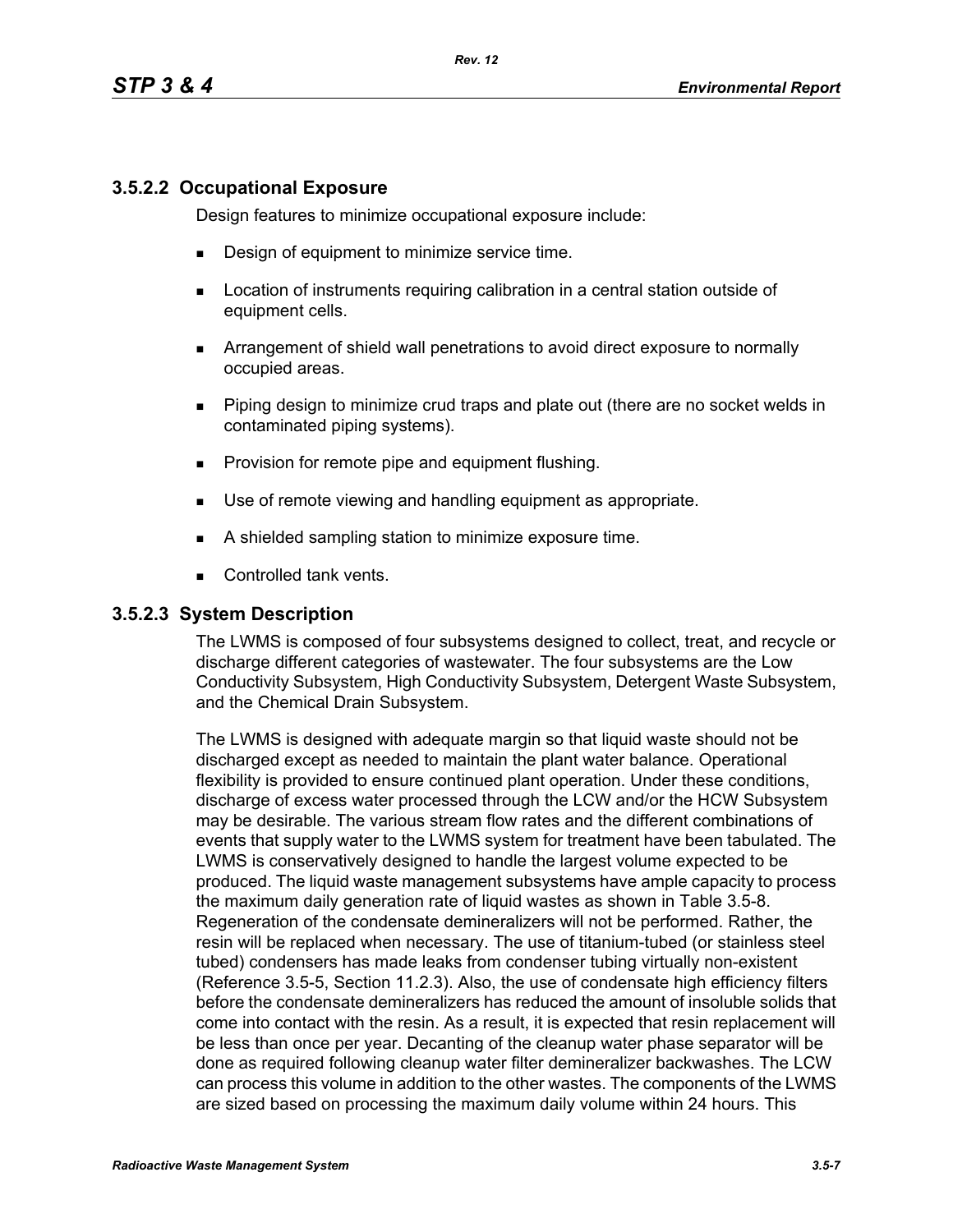# **3.5.2.2 Occupational Exposure**

Design features to minimize occupational exposure include:

- **Design of equipment to minimize service time.**
- **EXECT** Location of instruments requiring calibration in a central station outside of equipment cells.
- Arrangement of shield wall penetrations to avoid direct exposure to normally occupied areas.
- Piping design to minimize crud traps and plate out (there are no socket welds in contaminated piping systems).
- **Provision for remote pipe and equipment flushing.**
- Use of remote viewing and handling equipment as appropriate.
- A shielded sampling station to minimize exposure time.
- Controlled tank vents.

#### **3.5.2.3 System Description**

The LWMS is composed of four subsystems designed to collect, treat, and recycle or discharge different categories of wastewater. The four subsystems are the Low Conductivity Subsystem, High Conductivity Subsystem, Detergent Waste Subsystem, and the Chemical Drain Subsystem.

The LWMS is designed with adequate margin so that liquid waste should not be discharged except as needed to maintain the plant water balance. Operational flexibility is provided to ensure continued plant operation. Under these conditions, discharge of excess water processed through the LCW and/or the HCW Subsystem may be desirable. The various stream flow rates and the different combinations of events that supply water to the LWMS system for treatment have been tabulated. The LWMS is conservatively designed to handle the largest volume expected to be produced. The liquid waste management subsystems have ample capacity to process the maximum daily generation rate of liquid wastes as shown in Table 3.5-8. Regeneration of the condensate demineralizers will not be performed. Rather, the resin will be replaced when necessary. The use of titanium-tubed (or stainless steel tubed) condensers has made leaks from condenser tubing virtually non-existent (Reference 3.5-5, Section 11.2.3). Also, the use of condensate high efficiency filters before the condensate demineralizers has reduced the amount of insoluble solids that come into contact with the resin. As a result, it is expected that resin replacement will be less than once per year. Decanting of the cleanup water phase separator will be done as required following cleanup water filter demineralizer backwashes. The LCW can process this volume in addition to the other wastes. The components of the LWMS are sized based on processing the maximum daily volume within 24 hours. This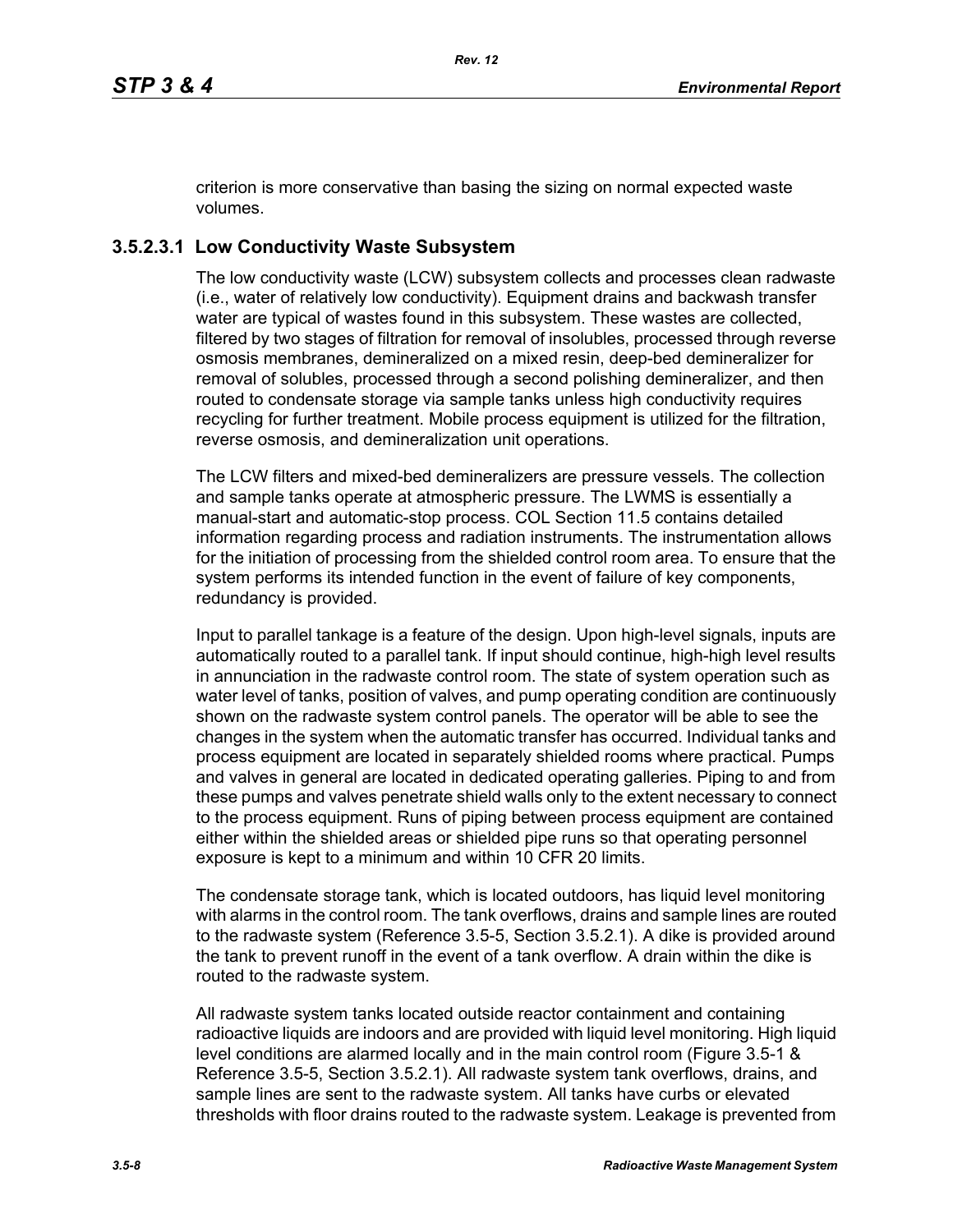criterion is more conservative than basing the sizing on normal expected waste volumes.

# **3.5.2.3.1 Low Conductivity Waste Subsystem**

The low conductivity waste (LCW) subsystem collects and processes clean radwaste (i.e., water of relatively low conductivity). Equipment drains and backwash transfer water are typical of wastes found in this subsystem. These wastes are collected, filtered by two stages of filtration for removal of insolubles, processed through reverse osmosis membranes, demineralized on a mixed resin, deep-bed demineralizer for removal of solubles, processed through a second polishing demineralizer, and then routed to condensate storage via sample tanks unless high conductivity requires recycling for further treatment. Mobile process equipment is utilized for the filtration, reverse osmosis, and demineralization unit operations.

The LCW filters and mixed-bed demineralizers are pressure vessels. The collection and sample tanks operate at atmospheric pressure. The LWMS is essentially a manual-start and automatic-stop process. COL Section 11.5 contains detailed information regarding process and radiation instruments. The instrumentation allows for the initiation of processing from the shielded control room area. To ensure that the system performs its intended function in the event of failure of key components, redundancy is provided.

Input to parallel tankage is a feature of the design. Upon high-level signals, inputs are automatically routed to a parallel tank. If input should continue, high-high level results in annunciation in the radwaste control room. The state of system operation such as water level of tanks, position of valves, and pump operating condition are continuously shown on the radwaste system control panels. The operator will be able to see the changes in the system when the automatic transfer has occurred. Individual tanks and process equipment are located in separately shielded rooms where practical. Pumps and valves in general are located in dedicated operating galleries. Piping to and from these pumps and valves penetrate shield walls only to the extent necessary to connect to the process equipment. Runs of piping between process equipment are contained either within the shielded areas or shielded pipe runs so that operating personnel exposure is kept to a minimum and within 10 CFR 20 limits.

The condensate storage tank, which is located outdoors, has liquid level monitoring with alarms in the control room. The tank overflows, drains and sample lines are routed to the radwaste system (Reference 3.5-5, Section 3.5.2.1). A dike is provided around the tank to prevent runoff in the event of a tank overflow. A drain within the dike is routed to the radwaste system.

All radwaste system tanks located outside reactor containment and containing radioactive liquids are indoors and are provided with liquid level monitoring. High liquid level conditions are alarmed locally and in the main control room (Figure 3.5-1 & Reference 3.5-5, Section 3.5.2.1). All radwaste system tank overflows, drains, and sample lines are sent to the radwaste system. All tanks have curbs or elevated thresholds with floor drains routed to the radwaste system. Leakage is prevented from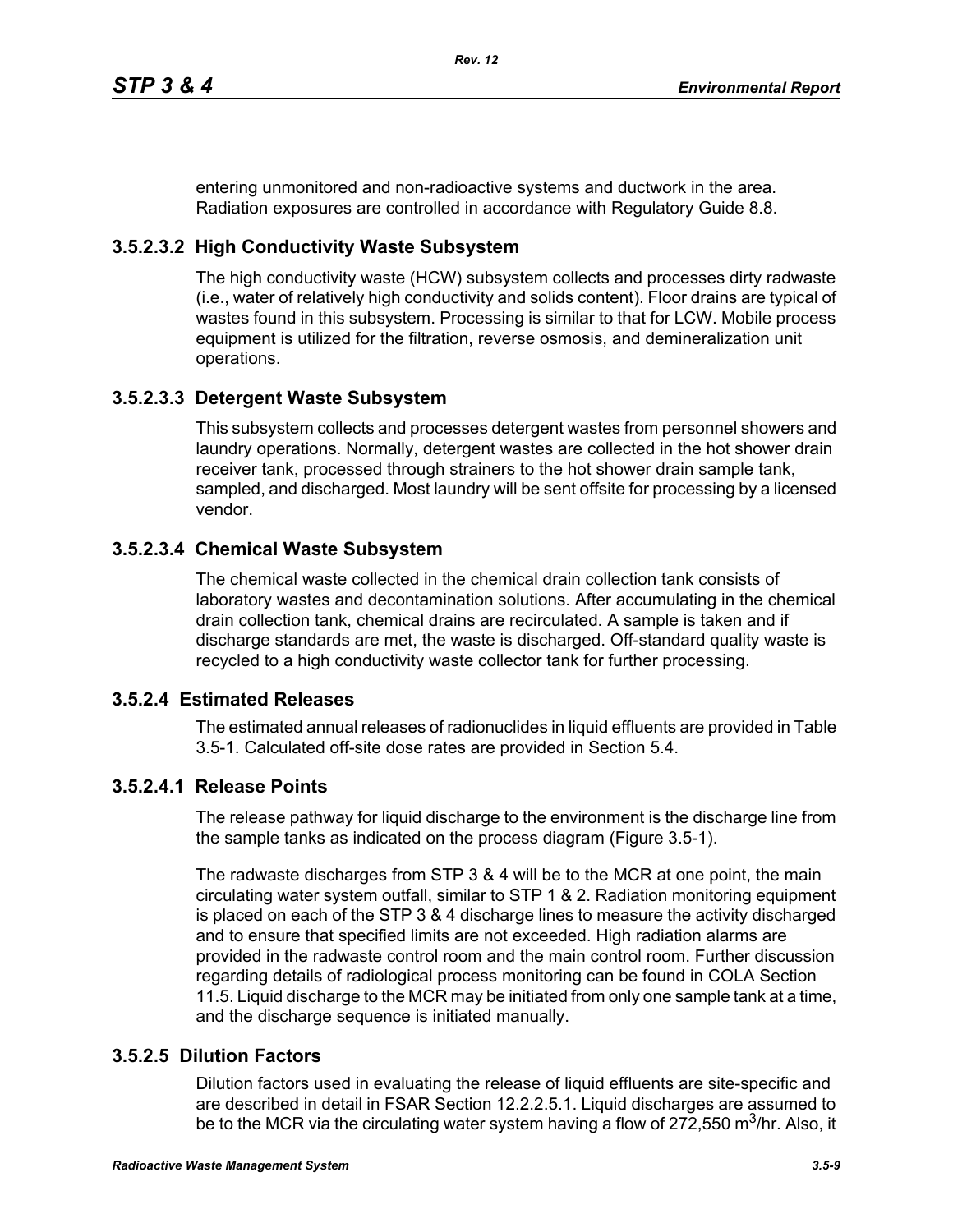entering unmonitored and non-radioactive systems and ductwork in the area. Radiation exposures are controlled in accordance with Regulatory Guide 8.8.

# **3.5.2.3.2 High Conductivity Waste Subsystem**

The high conductivity waste (HCW) subsystem collects and processes dirty radwaste (i.e., water of relatively high conductivity and solids content). Floor drains are typical of wastes found in this subsystem. Processing is similar to that for LCW. Mobile process equipment is utilized for the filtration, reverse osmosis, and demineralization unit operations.

# **3.5.2.3.3 Detergent Waste Subsystem**

This subsystem collects and processes detergent wastes from personnel showers and laundry operations. Normally, detergent wastes are collected in the hot shower drain receiver tank, processed through strainers to the hot shower drain sample tank, sampled, and discharged. Most laundry will be sent offsite for processing by a licensed vendor.

## **3.5.2.3.4 Chemical Waste Subsystem**

The chemical waste collected in the chemical drain collection tank consists of laboratory wastes and decontamination solutions. After accumulating in the chemical drain collection tank, chemical drains are recirculated. A sample is taken and if discharge standards are met, the waste is discharged. Off-standard quality waste is recycled to a high conductivity waste collector tank for further processing.

### **3.5.2.4 Estimated Releases**

The estimated annual releases of radionuclides in liquid effluents are provided in Table 3.5-1. Calculated off-site dose rates are provided in Section 5.4.

# **3.5.2.4.1 Release Points**

The release pathway for liquid discharge to the environment is the discharge line from the sample tanks as indicated on the process diagram (Figure 3.5-1).

The radwaste discharges from STP 3 & 4 will be to the MCR at one point, the main circulating water system outfall, similar to STP 1 & 2. Radiation monitoring equipment is placed on each of the STP 3 & 4 discharge lines to measure the activity discharged and to ensure that specified limits are not exceeded. High radiation alarms are provided in the radwaste control room and the main control room. Further discussion regarding details of radiological process monitoring can be found in COLA Section 11.5. Liquid discharge to the MCR may be initiated from only one sample tank at a time, and the discharge sequence is initiated manually.

## **3.5.2.5 Dilution Factors**

Dilution factors used in evaluating the release of liquid effluents are site-specific and are described in detail in FSAR Section 12.2.2.5.1. Liquid discharges are assumed to be to the MCR via the circulating water system having a flow of 272,550 m<sup>3</sup>/hr. Also, it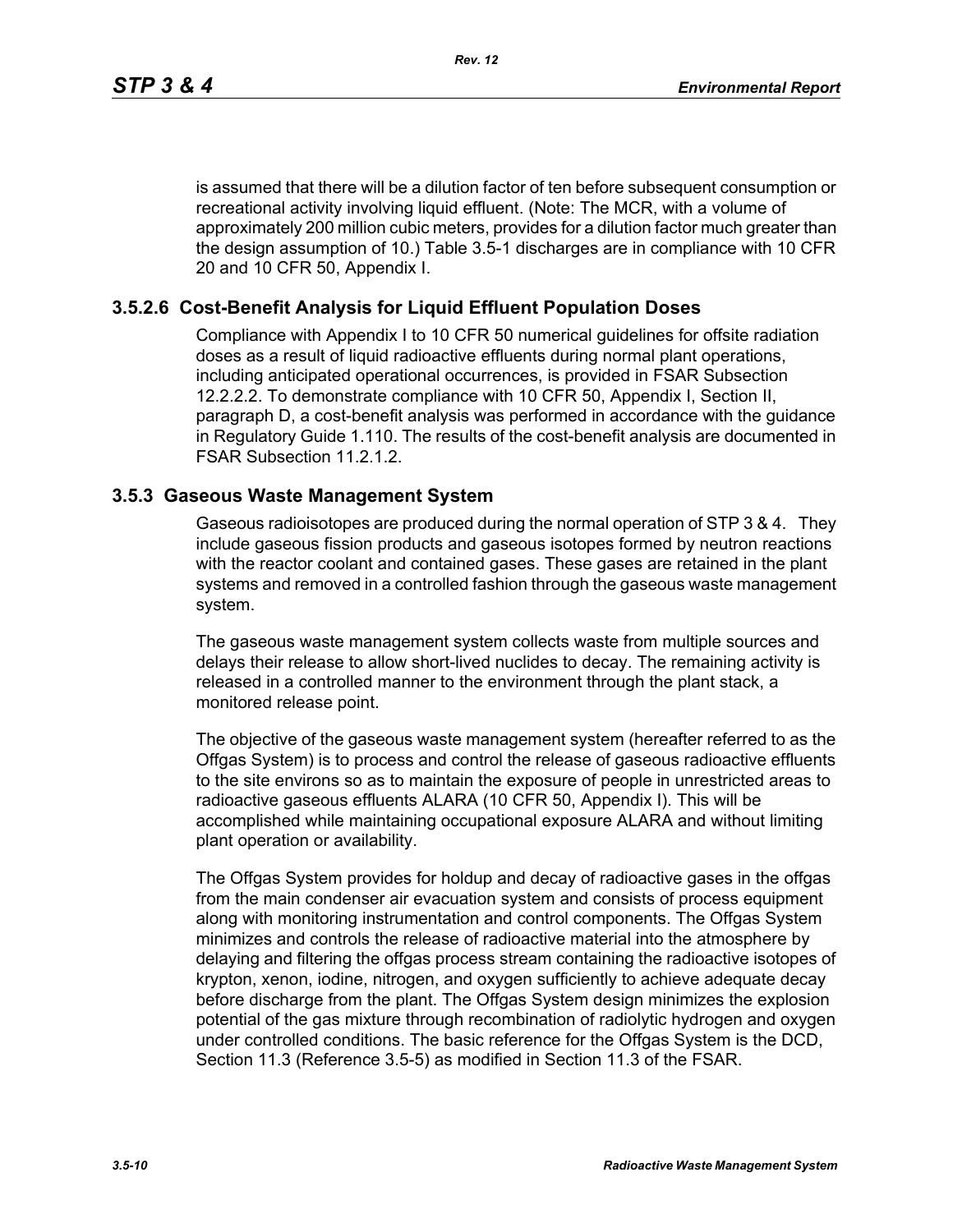is assumed that there will be a dilution factor of ten before subsequent consumption or recreational activity involving liquid effluent. (Note: The MCR, with a volume of approximately 200 million cubic meters, provides for a dilution factor much greater than the design assumption of 10.) Table 3.5-1 discharges are in compliance with 10 CFR 20 and 10 CFR 50, Appendix I.

## **3.5.2.6 Cost-Benefit Analysis for Liquid Effluent Population Doses**

Compliance with Appendix I to 10 CFR 50 numerical guidelines for offsite radiation doses as a result of liquid radioactive effluents during normal plant operations, including anticipated operational occurrences, is provided in FSAR Subsection 12.2.2.2. To demonstrate compliance with 10 CFR 50, Appendix I, Section II, paragraph D, a cost-benefit analysis was performed in accordance with the guidance in Regulatory Guide 1.110. The results of the cost-benefit analysis are documented in FSAR Subsection 11.2.1.2.

### **3.5.3 Gaseous Waste Management System**

Gaseous radioisotopes are produced during the normal operation of STP 3 & 4. They include gaseous fission products and gaseous isotopes formed by neutron reactions with the reactor coolant and contained gases. These gases are retained in the plant systems and removed in a controlled fashion through the gaseous waste management system.

The gaseous waste management system collects waste from multiple sources and delays their release to allow short-lived nuclides to decay. The remaining activity is released in a controlled manner to the environment through the plant stack, a monitored release point.

The objective of the gaseous waste management system (hereafter referred to as the Offgas System) is to process and control the release of gaseous radioactive effluents to the site environs so as to maintain the exposure of people in unrestricted areas to radioactive gaseous effluents ALARA (10 CFR 50, Appendix I). This will be accomplished while maintaining occupational exposure ALARA and without limiting plant operation or availability.

The Offgas System provides for holdup and decay of radioactive gases in the offgas from the main condenser air evacuation system and consists of process equipment along with monitoring instrumentation and control components. The Offgas System minimizes and controls the release of radioactive material into the atmosphere by delaying and filtering the offgas process stream containing the radioactive isotopes of krypton, xenon, iodine, nitrogen, and oxygen sufficiently to achieve adequate decay before discharge from the plant. The Offgas System design minimizes the explosion potential of the gas mixture through recombination of radiolytic hydrogen and oxygen under controlled conditions. The basic reference for the Offgas System is the DCD, Section 11.3 (Reference 3.5-5) as modified in Section 11.3 of the FSAR.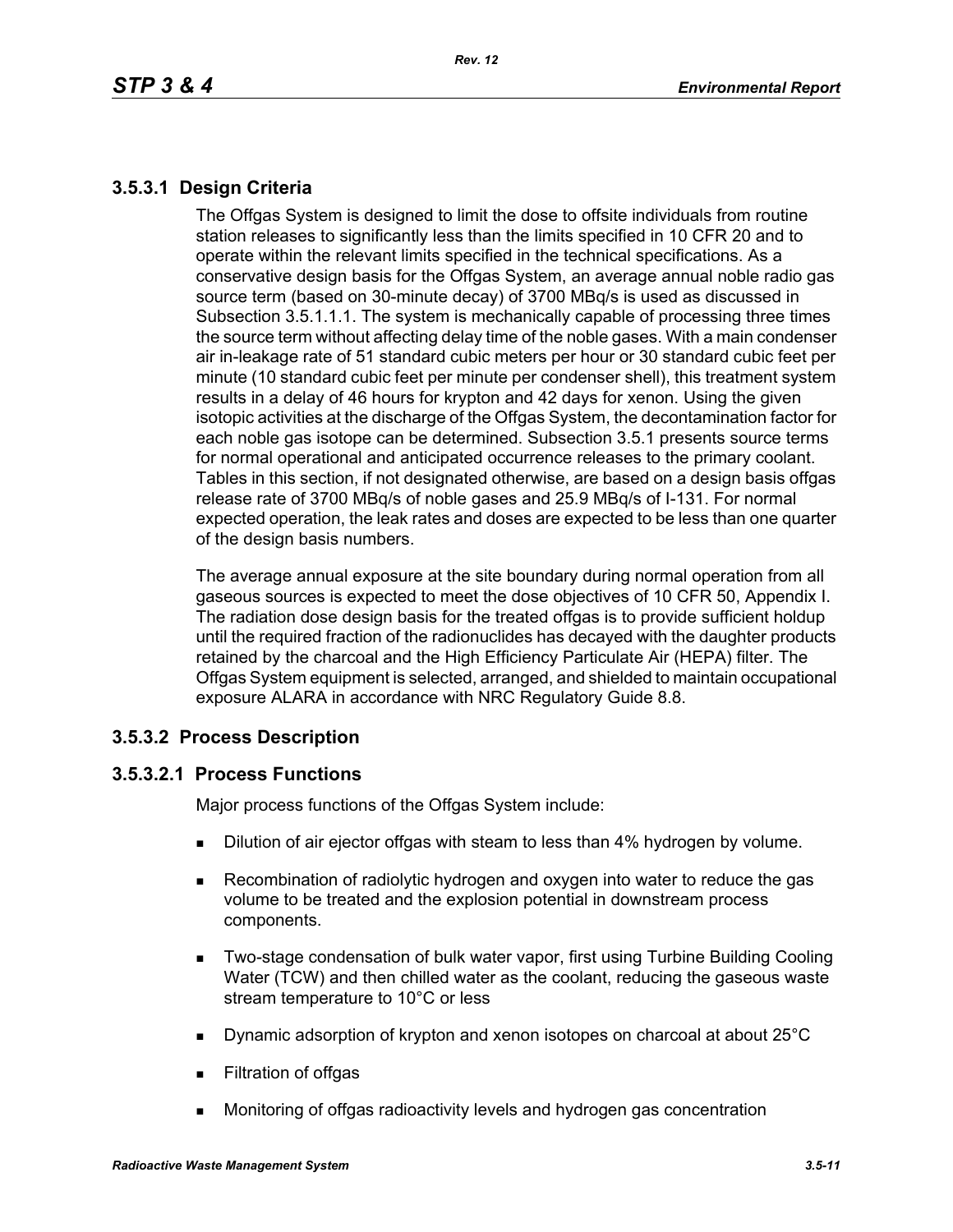# **3.5.3.1 Design Criteria**

The Offgas System is designed to limit the dose to offsite individuals from routine station releases to significantly less than the limits specified in 10 CFR 20 and to operate within the relevant limits specified in the technical specifications. As a conservative design basis for the Offgas System, an average annual noble radio gas source term (based on 30-minute decay) of 3700 MBq/s is used as discussed in Subsection 3.5.1.1.1. The system is mechanically capable of processing three times the source term without affecting delay time of the noble gases. With a main condenser air in-leakage rate of 51 standard cubic meters per hour or 30 standard cubic feet per minute (10 standard cubic feet per minute per condenser shell), this treatment system results in a delay of 46 hours for krypton and 42 days for xenon. Using the given isotopic activities at the discharge of the Offgas System, the decontamination factor for each noble gas isotope can be determined. Subsection 3.5.1 presents source terms for normal operational and anticipated occurrence releases to the primary coolant. Tables in this section, if not designated otherwise, are based on a design basis offgas release rate of 3700 MBq/s of noble gases and 25.9 MBq/s of I-131. For normal expected operation, the leak rates and doses are expected to be less than one quarter of the design basis numbers.

The average annual exposure at the site boundary during normal operation from all gaseous sources is expected to meet the dose objectives of 10 CFR 50, Appendix I. The radiation dose design basis for the treated offgas is to provide sufficient holdup until the required fraction of the radionuclides has decayed with the daughter products retained by the charcoal and the High Efficiency Particulate Air (HEPA) filter. The Offgas System equipment is selected, arranged, and shielded to maintain occupational exposure ALARA in accordance with NRC Regulatory Guide 8.8.

# **3.5.3.2 Process Description**

# **3.5.3.2.1 Process Functions**

Major process functions of the Offgas System include:

- **Dilution of air ejector offgas with steam to less than 4% hydrogen by volume.**
- Recombination of radiolytic hydrogen and oxygen into water to reduce the gas volume to be treated and the explosion potential in downstream process components.
- **Two-stage condensation of bulk water vapor, first using Turbine Building Cooling** Water (TCW) and then chilled water as the coolant, reducing the gaseous waste stream temperature to 10°C or less
- Dynamic adsorption of krypton and xenon isotopes on charcoal at about 25°C
- **Filtration of offgas**
- Monitoring of offgas radioactivity levels and hydrogen gas concentration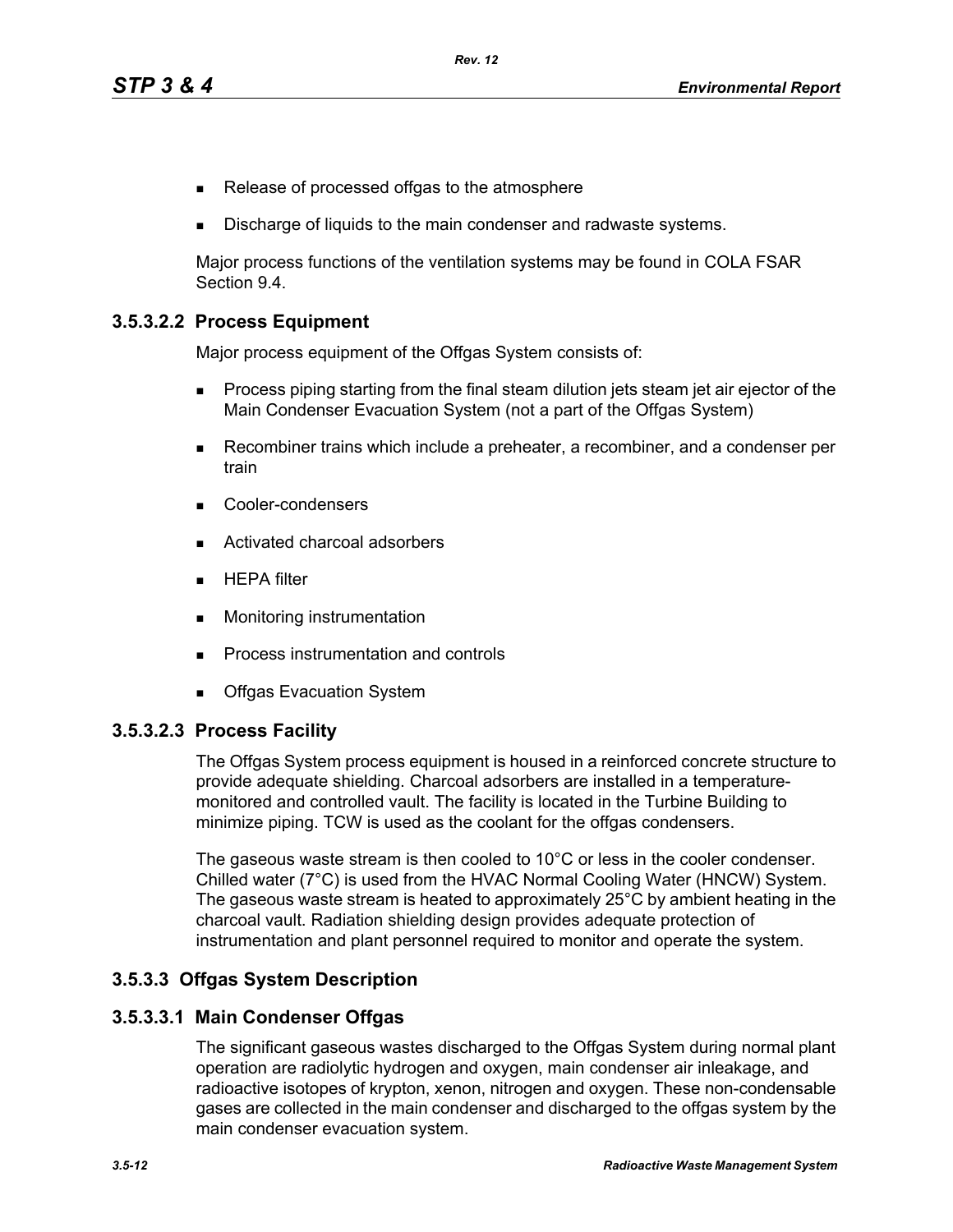- Release of processed offgas to the atmosphere
- Discharge of liquids to the main condenser and radwaste systems.

Major process functions of the ventilation systems may be found in COLA FSAR Section 9.4.

## **3.5.3.2.2 Process Equipment**

Major process equipment of the Offgas System consists of:

- **Process piping starting from the final steam dilution jets steam jet air ejector of the** Main Condenser Evacuation System (not a part of the Offgas System)
- Recombiner trains which include a preheater, a recombiner, and a condenser per train
- Cooler-condensers
- Activated charcoal adsorbers
- $HEPA$  filter
- **Monitoring instrumentation**
- **Process instrumentation and controls**
- **Deal** Offgas Evacuation System

### **3.5.3.2.3 Process Facility**

The Offgas System process equipment is housed in a reinforced concrete structure to provide adequate shielding. Charcoal adsorbers are installed in a temperaturemonitored and controlled vault. The facility is located in the Turbine Building to minimize piping. TCW is used as the coolant for the offgas condensers.

The gaseous waste stream is then cooled to 10°C or less in the cooler condenser. Chilled water (7°C) is used from the HVAC Normal Cooling Water (HNCW) System. The gaseous waste stream is heated to approximately 25°C by ambient heating in the charcoal vault. Radiation shielding design provides adequate protection of instrumentation and plant personnel required to monitor and operate the system.

### **3.5.3.3 Offgas System Description**

### **3.5.3.3.1 Main Condenser Offgas**

The significant gaseous wastes discharged to the Offgas System during normal plant operation are radiolytic hydrogen and oxygen, main condenser air inleakage, and radioactive isotopes of krypton, xenon, nitrogen and oxygen. These non-condensable gases are collected in the main condenser and discharged to the offgas system by the main condenser evacuation system.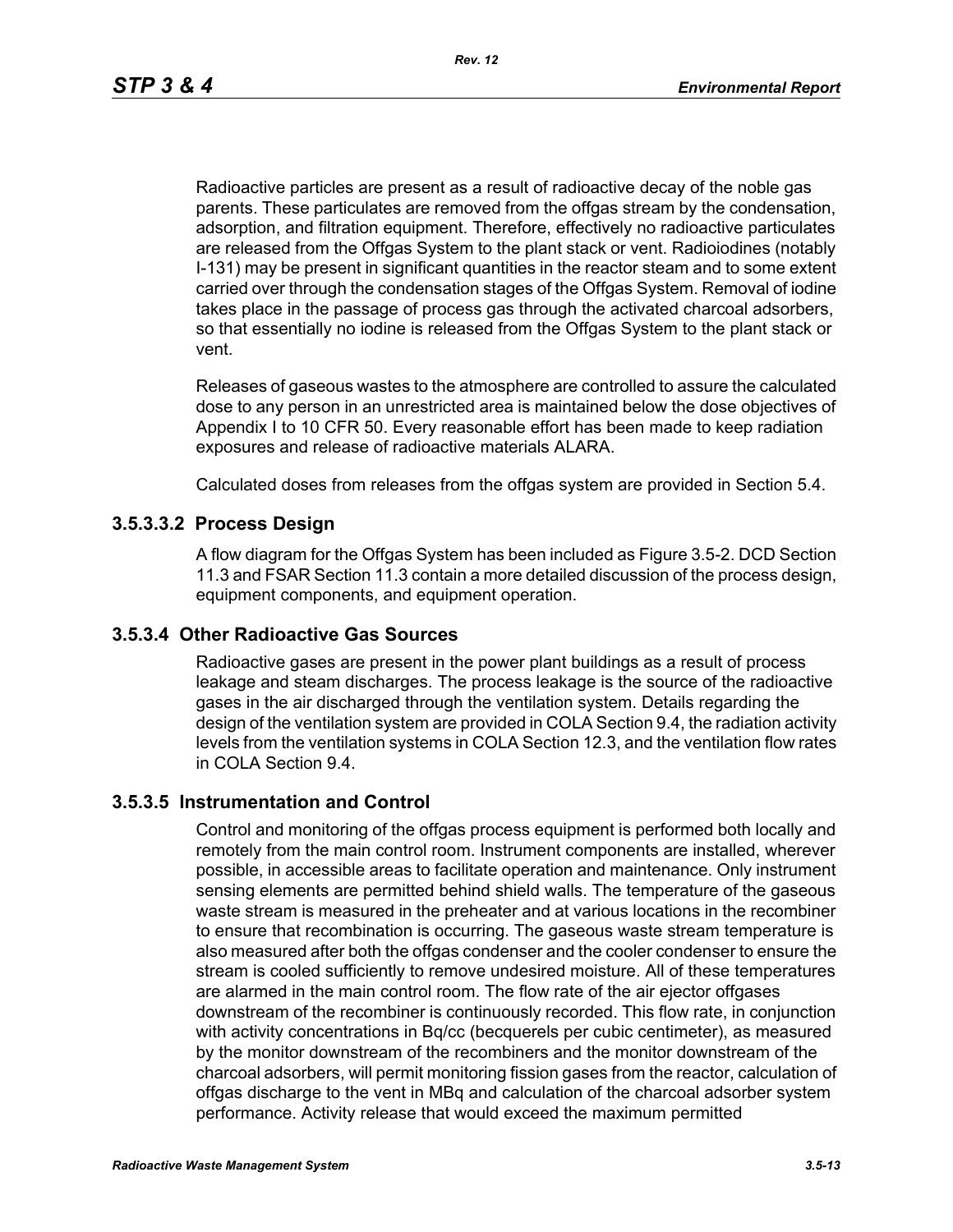Radioactive particles are present as a result of radioactive decay of the noble gas parents. These particulates are removed from the offgas stream by the condensation, adsorption, and filtration equipment. Therefore, effectively no radioactive particulates are released from the Offgas System to the plant stack or vent. Radioiodines (notably I-131) may be present in significant quantities in the reactor steam and to some extent carried over through the condensation stages of the Offgas System. Removal of iodine takes place in the passage of process gas through the activated charcoal adsorbers, so that essentially no iodine is released from the Offgas System to the plant stack or vent.

Releases of gaseous wastes to the atmosphere are controlled to assure the calculated dose to any person in an unrestricted area is maintained below the dose objectives of Appendix I to 10 CFR 50. Every reasonable effort has been made to keep radiation exposures and release of radioactive materials ALARA.

Calculated doses from releases from the offgas system are provided in Section 5.4.

## **3.5.3.3.2 Process Design**

A flow diagram for the Offgas System has been included as Figure 3.5-2. DCD Section 11.3 and FSAR Section 11.3 contain a more detailed discussion of the process design, equipment components, and equipment operation.

### **3.5.3.4 Other Radioactive Gas Sources**

Radioactive gases are present in the power plant buildings as a result of process leakage and steam discharges. The process leakage is the source of the radioactive gases in the air discharged through the ventilation system. Details regarding the design of the ventilation system are provided in COLA Section 9.4, the radiation activity levels from the ventilation systems in COLA Section 12.3, and the ventilation flow rates in COLA Section 9.4.

### **3.5.3.5 Instrumentation and Control**

Control and monitoring of the offgas process equipment is performed both locally and remotely from the main control room. Instrument components are installed, wherever possible, in accessible areas to facilitate operation and maintenance. Only instrument sensing elements are permitted behind shield walls. The temperature of the gaseous waste stream is measured in the preheater and at various locations in the recombiner to ensure that recombination is occurring. The gaseous waste stream temperature is also measured after both the offgas condenser and the cooler condenser to ensure the stream is cooled sufficiently to remove undesired moisture. All of these temperatures are alarmed in the main control room. The flow rate of the air ejector offgases downstream of the recombiner is continuously recorded. This flow rate, in conjunction with activity concentrations in Bq/cc (becquerels per cubic centimeter), as measured by the monitor downstream of the recombiners and the monitor downstream of the charcoal adsorbers, will permit monitoring fission gases from the reactor, calculation of offgas discharge to the vent in MBq and calculation of the charcoal adsorber system performance. Activity release that would exceed the maximum permitted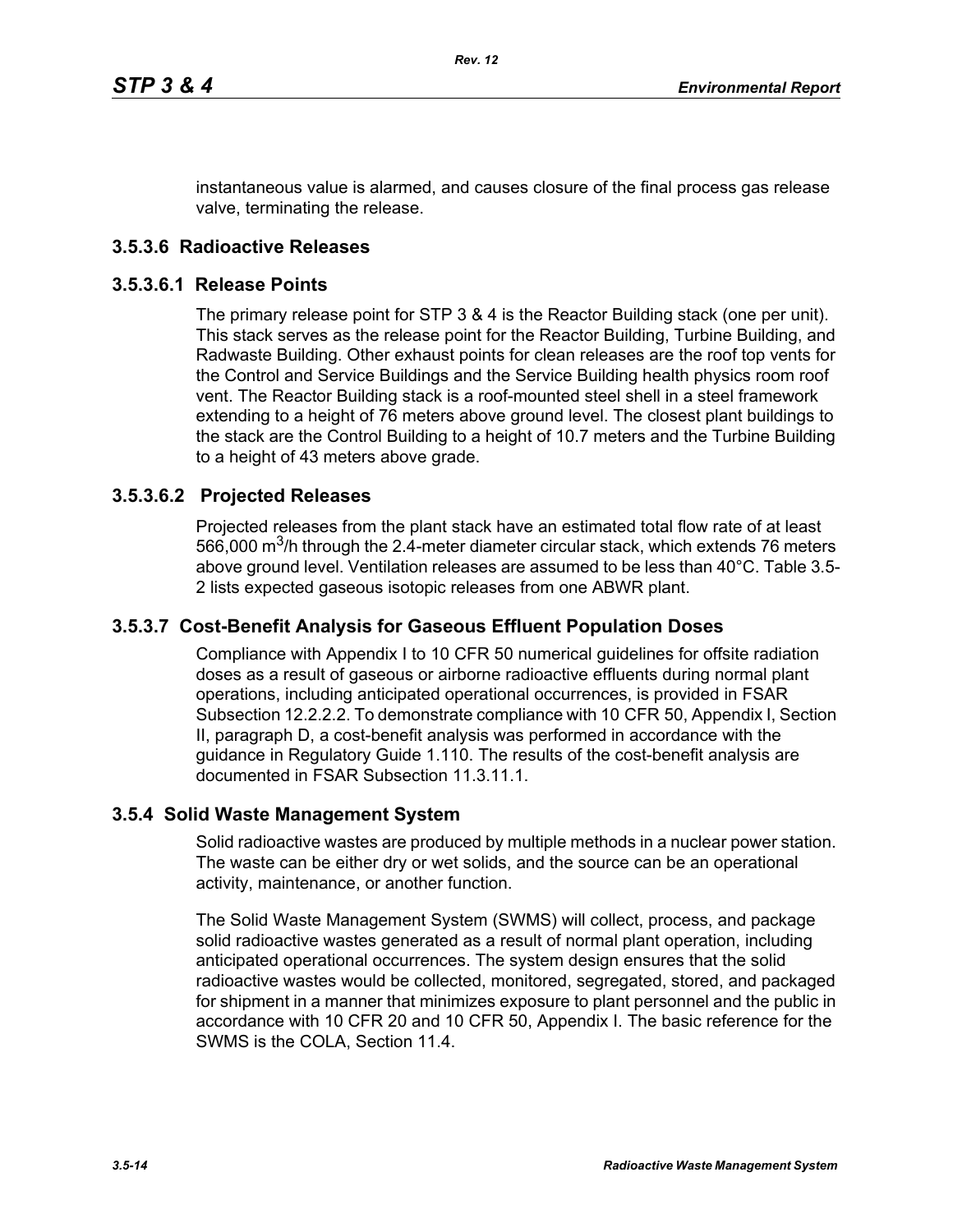instantaneous value is alarmed, and causes closure of the final process gas release valve, terminating the release.

### **3.5.3.6 Radioactive Releases**

#### **3.5.3.6.1 Release Points**

The primary release point for STP 3 & 4 is the Reactor Building stack (one per unit). This stack serves as the release point for the Reactor Building, Turbine Building, and Radwaste Building. Other exhaust points for clean releases are the roof top vents for the Control and Service Buildings and the Service Building health physics room roof vent. The Reactor Building stack is a roof-mounted steel shell in a steel framework extending to a height of 76 meters above ground level. The closest plant buildings to the stack are the Control Building to a height of 10.7 meters and the Turbine Building to a height of 43 meters above grade.

### **3.5.3.6.2 Projected Releases**

Projected releases from the plant stack have an estimated total flow rate of at least 566,000  $\mathrm{m}^3$ /h through the 2.4-meter diameter circular stack, which extends 76 meters above ground level. Ventilation releases are assumed to be less than 40°C. Table 3.5- 2 lists expected gaseous isotopic releases from one ABWR plant.

### **3.5.3.7 Cost-Benefit Analysis for Gaseous Effluent Population Doses**

Compliance with Appendix I to 10 CFR 50 numerical guidelines for offsite radiation doses as a result of gaseous or airborne radioactive effluents during normal plant operations, including anticipated operational occurrences, is provided in FSAR Subsection 12.2.2.2. To demonstrate compliance with 10 CFR 50, Appendix I, Section II, paragraph D, a cost-benefit analysis was performed in accordance with the guidance in Regulatory Guide 1.110. The results of the cost-benefit analysis are documented in FSAR Subsection 11.3.11.1.

### **3.5.4 Solid Waste Management System**

Solid radioactive wastes are produced by multiple methods in a nuclear power station. The waste can be either dry or wet solids, and the source can be an operational activity, maintenance, or another function.

The Solid Waste Management System (SWMS) will collect, process, and package solid radioactive wastes generated as a result of normal plant operation, including anticipated operational occurrences. The system design ensures that the solid radioactive wastes would be collected, monitored, segregated, stored, and packaged for shipment in a manner that minimizes exposure to plant personnel and the public in accordance with 10 CFR 20 and 10 CFR 50, Appendix I. The basic reference for the SWMS is the COLA, Section 11.4.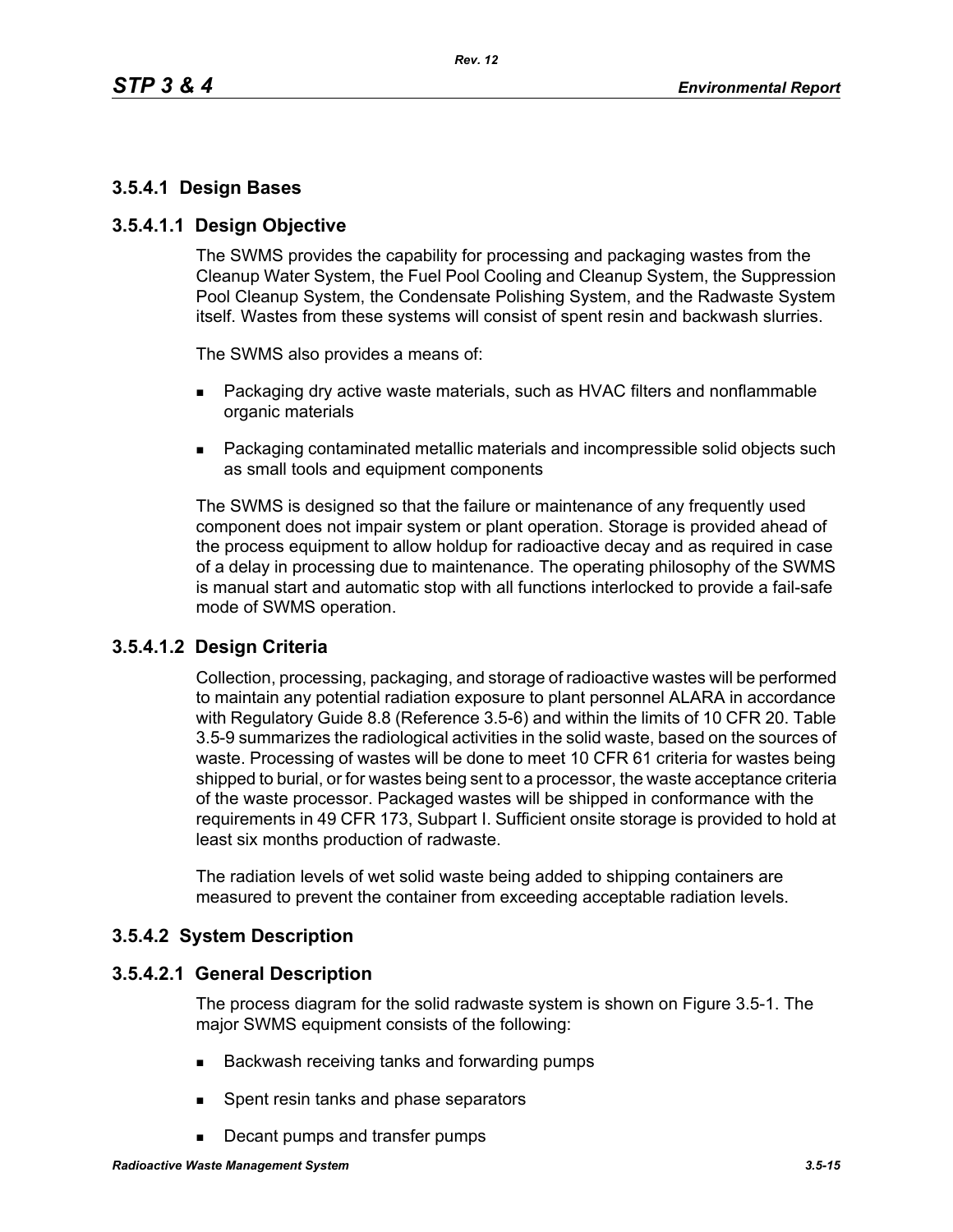# **3.5.4.1 Design Bases**

## **3.5.4.1.1 Design Objective**

The SWMS provides the capability for processing and packaging wastes from the Cleanup Water System, the Fuel Pool Cooling and Cleanup System, the Suppression Pool Cleanup System, the Condensate Polishing System, and the Radwaste System itself. Wastes from these systems will consist of spent resin and backwash slurries.

The SWMS also provides a means of:

- **Packaging dry active waste materials, such as HVAC filters and nonflammable** organic materials
- Packaging contaminated metallic materials and incompressible solid objects such as small tools and equipment components

The SWMS is designed so that the failure or maintenance of any frequently used component does not impair system or plant operation. Storage is provided ahead of the process equipment to allow holdup for radioactive decay and as required in case of a delay in processing due to maintenance. The operating philosophy of the SWMS is manual start and automatic stop with all functions interlocked to provide a fail-safe mode of SWMS operation.

# **3.5.4.1.2 Design Criteria**

Collection, processing, packaging, and storage of radioactive wastes will be performed to maintain any potential radiation exposure to plant personnel ALARA in accordance with Regulatory Guide 8.8 (Reference 3.5-6) and within the limits of 10 CFR 20. Table 3.5-9 summarizes the radiological activities in the solid waste, based on the sources of waste. Processing of wastes will be done to meet 10 CFR 61 criteria for wastes being shipped to burial, or for wastes being sent to a processor, the waste acceptance criteria of the waste processor. Packaged wastes will be shipped in conformance with the requirements in 49 CFR 173, Subpart I. Sufficient onsite storage is provided to hold at least six months production of radwaste.

The radiation levels of wet solid waste being added to shipping containers are measured to prevent the container from exceeding acceptable radiation levels.

# **3.5.4.2 System Description**

### **3.5.4.2.1 General Description**

The process diagram for the solid radwaste system is shown on Figure 3.5-1. The major SWMS equipment consists of the following:

- Backwash receiving tanks and forwarding pumps
- **Spent resin tanks and phase separators**
- Decant pumps and transfer pumps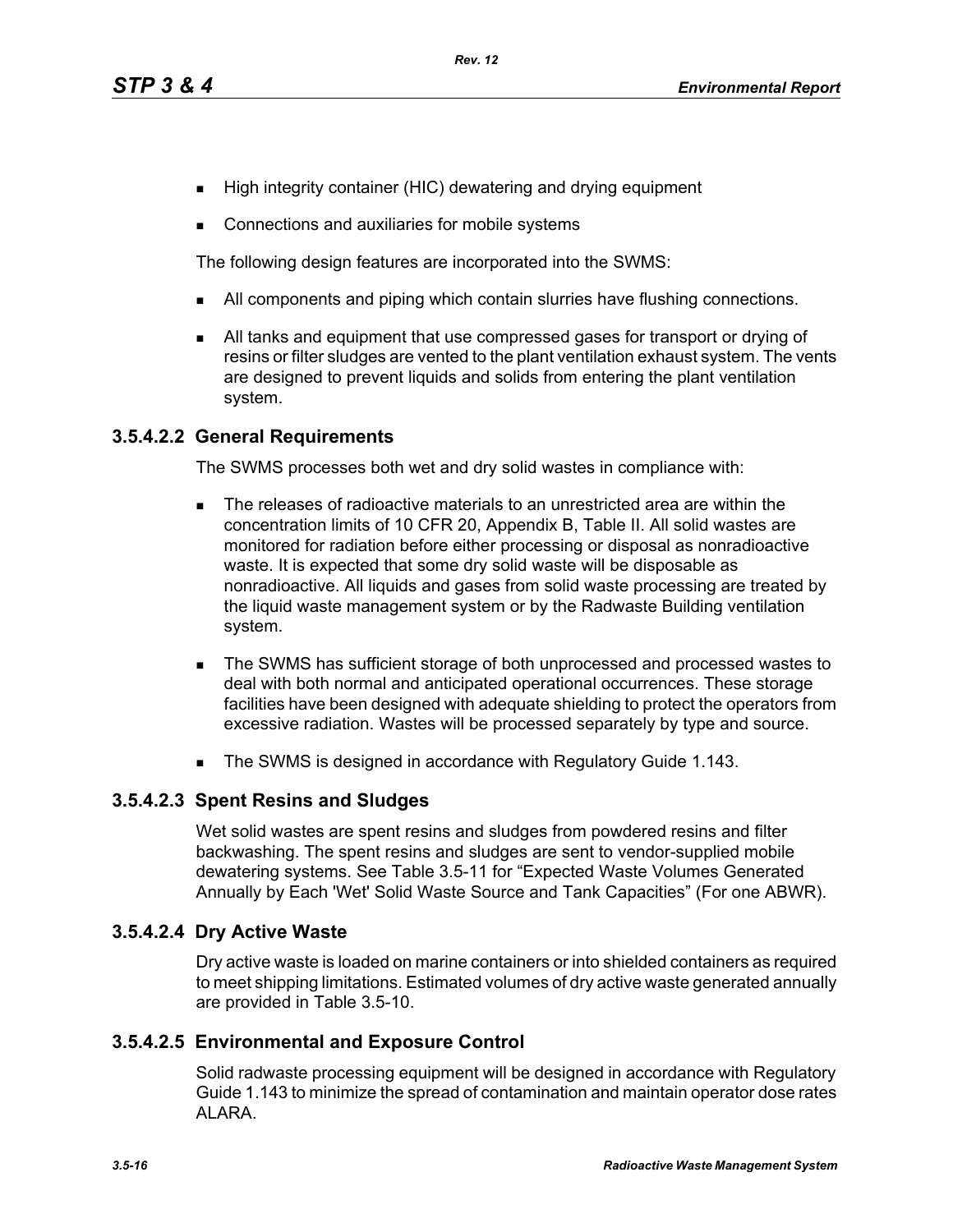- High integrity container (HIC) dewatering and drying equipment
- **Connections and auxiliaries for mobile systems**

The following design features are incorporated into the SWMS:

- I All components and piping which contain slurries have flushing connections.
- All tanks and equipment that use compressed gases for transport or drying of resins or filter sludges are vented to the plant ventilation exhaust system. The vents are designed to prevent liquids and solids from entering the plant ventilation system.

# **3.5.4.2.2 General Requirements**

The SWMS processes both wet and dry solid wastes in compliance with:

- The releases of radioactive materials to an unrestricted area are within the concentration limits of 10 CFR 20, Appendix B, Table II. All solid wastes are monitored for radiation before either processing or disposal as nonradioactive waste. It is expected that some dry solid waste will be disposable as nonradioactive. All liquids and gases from solid waste processing are treated by the liquid waste management system or by the Radwaste Building ventilation system.
- The SWMS has sufficient storage of both unprocessed and processed wastes to deal with both normal and anticipated operational occurrences. These storage facilities have been designed with adequate shielding to protect the operators from excessive radiation. Wastes will be processed separately by type and source.
- The SWMS is designed in accordance with Regulatory Guide 1.143.

# **3.5.4.2.3 Spent Resins and Sludges**

Wet solid wastes are spent resins and sludges from powdered resins and filter backwashing. The spent resins and sludges are sent to vendor-supplied mobile dewatering systems. See Table 3.5-11 for "Expected Waste Volumes Generated Annually by Each 'Wet' Solid Waste Source and Tank Capacities" (For one ABWR).

# **3.5.4.2.4 Dry Active Waste**

Dry active waste is loaded on marine containers or into shielded containers as required to meet shipping limitations. Estimated volumes of dry active waste generated annually are provided in Table 3.5-10.

# **3.5.4.2.5 Environmental and Exposure Control**

Solid radwaste processing equipment will be designed in accordance with Regulatory Guide 1.143 to minimize the spread of contamination and maintain operator dose rates ALARA.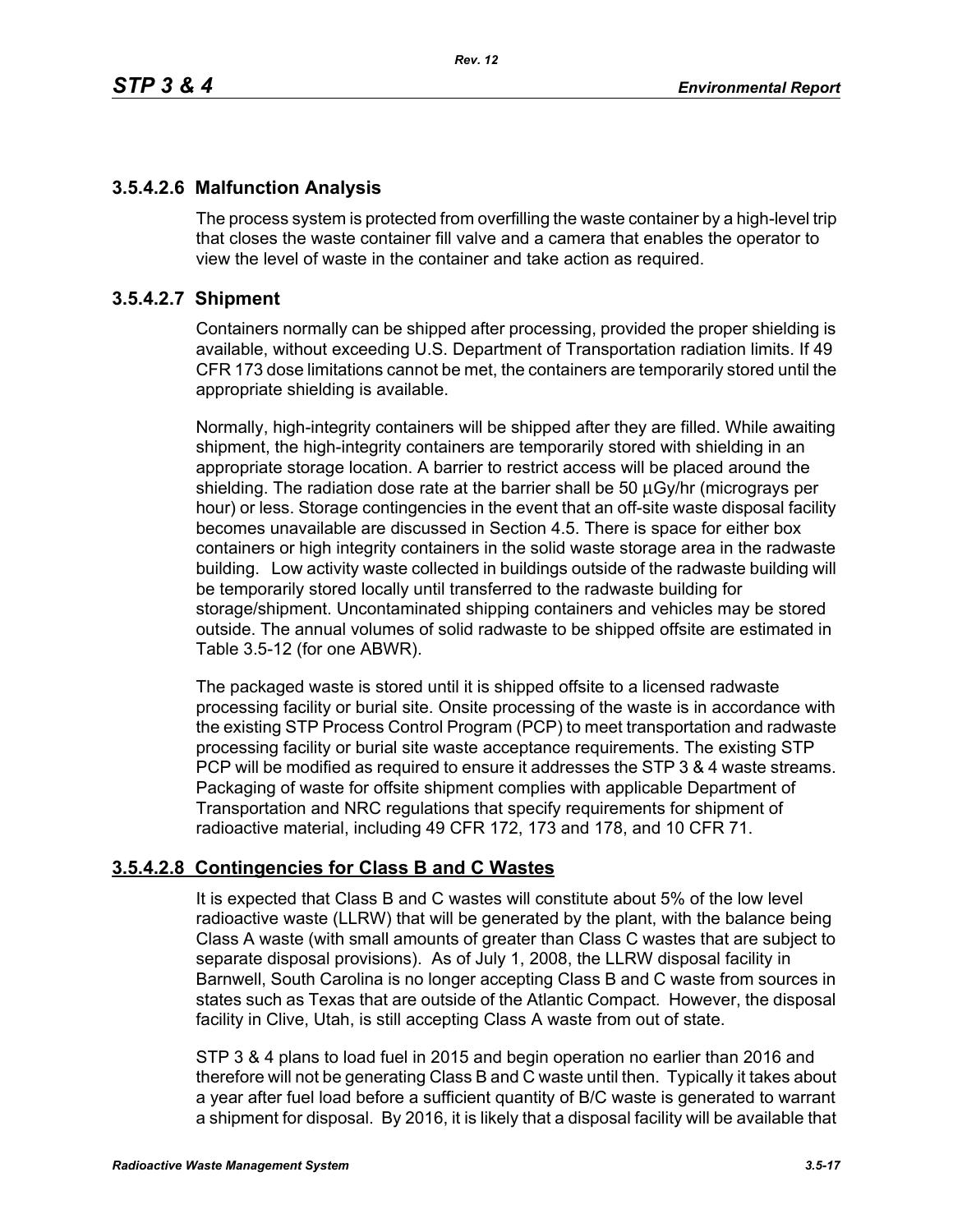# **3.5.4.2.6 Malfunction Analysis**

The process system is protected from overfilling the waste container by a high-level trip that closes the waste container fill valve and a camera that enables the operator to view the level of waste in the container and take action as required.

# **3.5.4.2.7 Shipment**

Containers normally can be shipped after processing, provided the proper shielding is available, without exceeding U.S. Department of Transportation radiation limits. If 49 CFR 173 dose limitations cannot be met, the containers are temporarily stored until the appropriate shielding is available.

Normally, high-integrity containers will be shipped after they are filled. While awaiting shipment, the high-integrity containers are temporarily stored with shielding in an appropriate storage location. A barrier to restrict access will be placed around the shielding. The radiation dose rate at the barrier shall be 50 μGy/hr (micrograys per hour) or less. Storage contingencies in the event that an off-site waste disposal facility becomes unavailable are discussed in Section 4.5. There is space for either box containers or high integrity containers in the solid waste storage area in the radwaste building. Low activity waste collected in buildings outside of the radwaste building will be temporarily stored locally until transferred to the radwaste building for storage/shipment. Uncontaminated shipping containers and vehicles may be stored outside. The annual volumes of solid radwaste to be shipped offsite are estimated in Table 3.5-12 (for one ABWR).

The packaged waste is stored until it is shipped offsite to a licensed radwaste processing facility or burial site. Onsite processing of the waste is in accordance with the existing STP Process Control Program (PCP) to meet transportation and radwaste processing facility or burial site waste acceptance requirements. The existing STP PCP will be modified as required to ensure it addresses the STP 3 & 4 waste streams. Packaging of waste for offsite shipment complies with applicable Department of Transportation and NRC regulations that specify requirements for shipment of radioactive material, including 49 CFR 172, 173 and 178, and 10 CFR 71.

# **3.5.4.2.8 Contingencies for Class B and C Wastes**

It is expected that Class B and C wastes will constitute about 5% of the low level radioactive waste (LLRW) that will be generated by the plant, with the balance being Class A waste (with small amounts of greater than Class C wastes that are subject to separate disposal provisions). As of July 1, 2008, the LLRW disposal facility in Barnwell, South Carolina is no longer accepting Class B and C waste from sources in states such as Texas that are outside of the Atlantic Compact. However, the disposal facility in Clive, Utah, is still accepting Class A waste from out of state.

STP 3 & 4 plans to load fuel in 2015 and begin operation no earlier than 2016 and therefore will not be generating Class B and C waste until then. Typically it takes about a year after fuel load before a sufficient quantity of B/C waste is generated to warrant a shipment for disposal. By 2016, it is likely that a disposal facility will be available that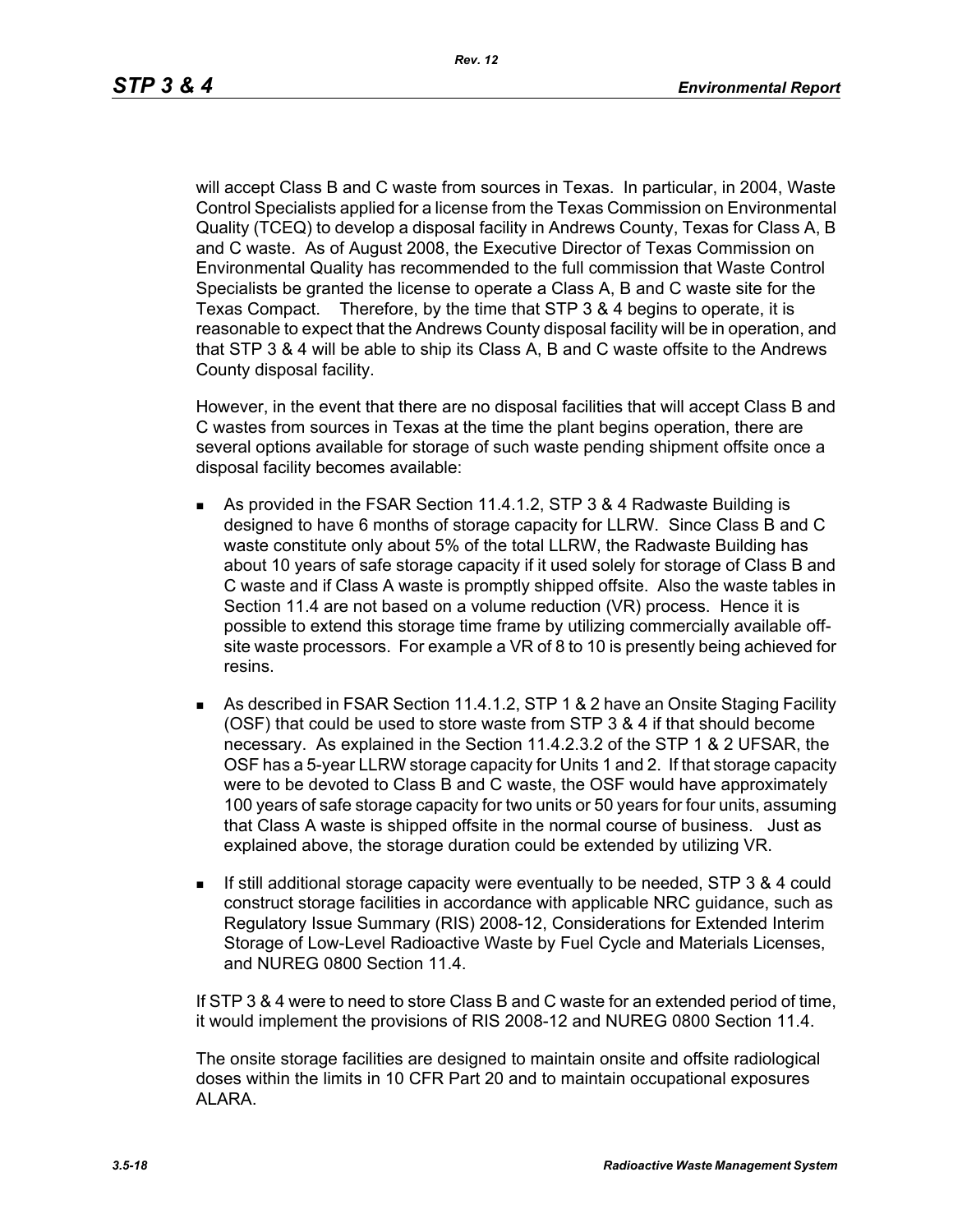will accept Class B and C waste from sources in Texas. In particular, in 2004, Waste Control Specialists applied for a license from the Texas Commission on Environmental Quality (TCEQ) to develop a disposal facility in Andrews County, Texas for Class A, B and C waste. As of August 2008, the Executive Director of Texas Commission on Environmental Quality has recommended to the full commission that Waste Control Specialists be granted the license to operate a Class A, B and C waste site for the Texas Compact. Therefore, by the time that STP 3 & 4 begins to operate, it is reasonable to expect that the Andrews County disposal facility will be in operation, and that STP 3 & 4 will be able to ship its Class A, B and C waste offsite to the Andrews County disposal facility.

However, in the event that there are no disposal facilities that will accept Class B and C wastes from sources in Texas at the time the plant begins operation, there are several options available for storage of such waste pending shipment offsite once a disposal facility becomes available:

- As provided in the FSAR Section 11.4.1.2, STP 3 & 4 Radwaste Building is designed to have 6 months of storage capacity for LLRW. Since Class B and C waste constitute only about 5% of the total LLRW, the Radwaste Building has about 10 years of safe storage capacity if it used solely for storage of Class B and C waste and if Class A waste is promptly shipped offsite. Also the waste tables in Section 11.4 are not based on a volume reduction (VR) process. Hence it is possible to extend this storage time frame by utilizing commercially available offsite waste processors. For example a VR of 8 to 10 is presently being achieved for resins.
- As described in FSAR Section 11.4.1.2, STP 1 & 2 have an Onsite Staging Facility (OSF) that could be used to store waste from STP 3 & 4 if that should become necessary. As explained in the Section 11.4.2.3.2 of the STP 1 & 2 UFSAR, the OSF has a 5-year LLRW storage capacity for Units 1 and 2. If that storage capacity were to be devoted to Class B and C waste, the OSF would have approximately 100 years of safe storage capacity for two units or 50 years for four units, assuming that Class A waste is shipped offsite in the normal course of business. Just as explained above, the storage duration could be extended by utilizing VR.
- If still additional storage capacity were eventually to be needed, STP 3 & 4 could construct storage facilities in accordance with applicable NRC guidance, such as Regulatory Issue Summary (RIS) 2008-12, Considerations for Extended Interim Storage of Low-Level Radioactive Waste by Fuel Cycle and Materials Licenses, and NUREG 0800 Section 11.4.

If STP 3 & 4 were to need to store Class B and C waste for an extended period of time, it would implement the provisions of RIS 2008-12 and NUREG 0800 Section 11.4.

The onsite storage facilities are designed to maintain onsite and offsite radiological doses within the limits in 10 CFR Part 20 and to maintain occupational exposures ALARA.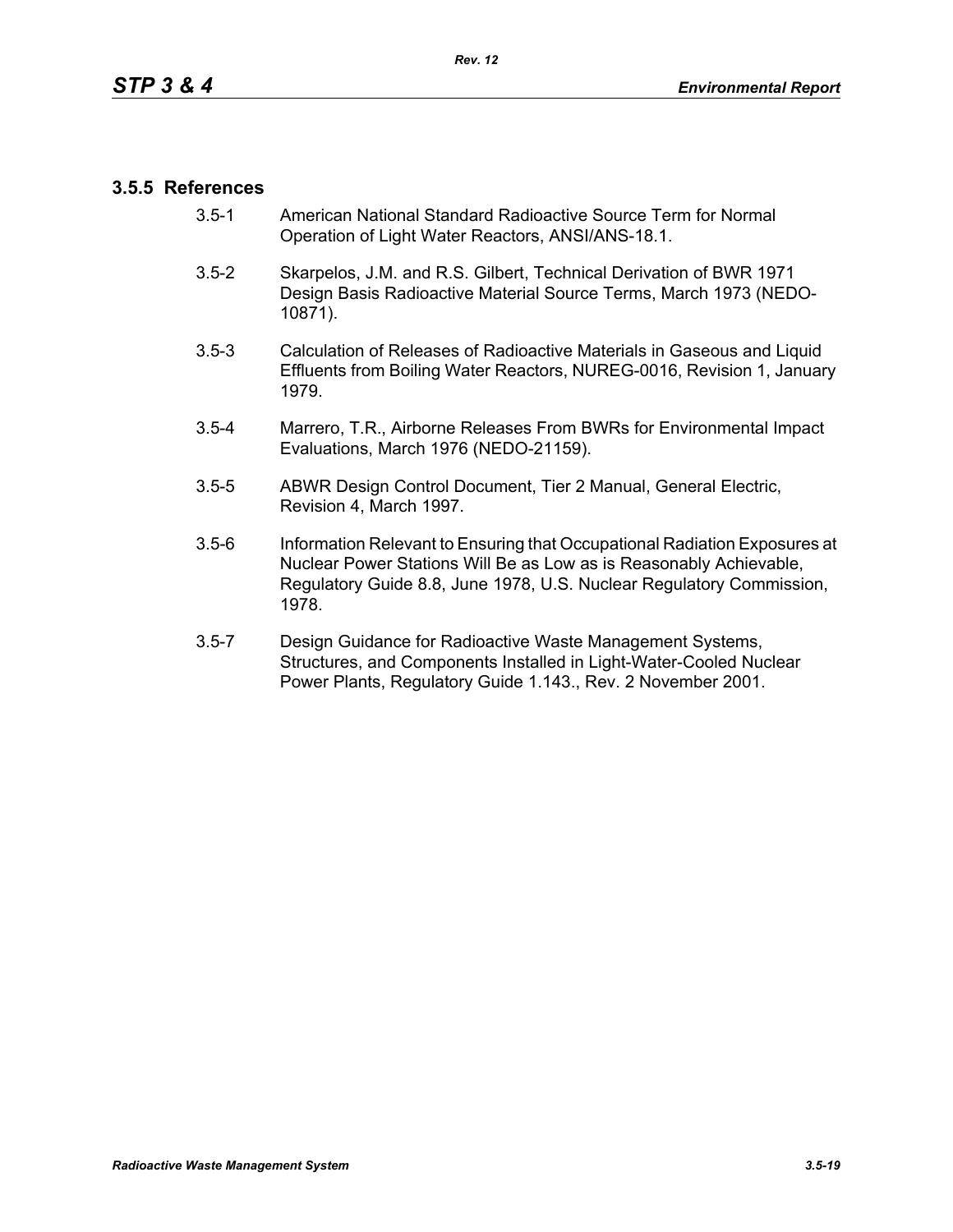# **3.5.5 References**

- 3.5-1 American National Standard Radioactive Source Term for Normal Operation of Light Water Reactors, ANSI/ANS-18.1.
- 3.5-2 Skarpelos, J.M. and R.S. Gilbert, Technical Derivation of BWR 1971 Design Basis Radioactive Material Source Terms, March 1973 (NEDO-10871).
- 3.5-3 Calculation of Releases of Radioactive Materials in Gaseous and Liquid Effluents from Boiling Water Reactors, NUREG-0016, Revision 1, January 1979.
- 3.5-4 Marrero, T.R., Airborne Releases From BWRs for Environmental Impact Evaluations, March 1976 (NEDO-21159).
- 3.5-5 ABWR Design Control Document, Tier 2 Manual, General Electric, Revision 4, March 1997.
- 3.5-6 Information Relevant to Ensuring that Occupational Radiation Exposures at Nuclear Power Stations Will Be as Low as is Reasonably Achievable, Regulatory Guide 8.8, June 1978, U.S. Nuclear Regulatory Commission, 1978.
- 3.5-7 Design Guidance for Radioactive Waste Management Systems, Structures, and Components Installed in Light-Water-Cooled Nuclear Power Plants, Regulatory Guide 1.143., Rev. 2 November 2001.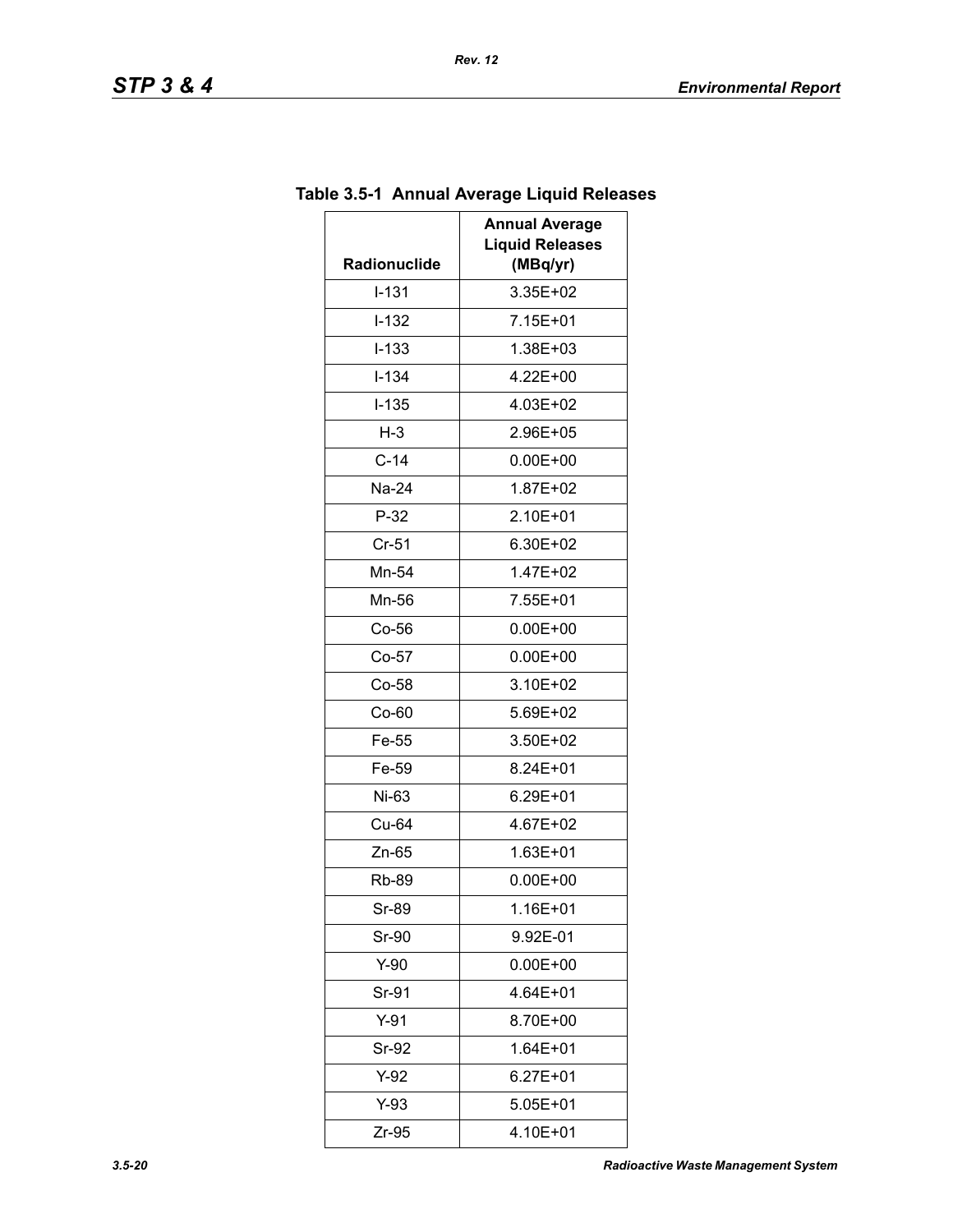| Radionuclide | <b>Annual Average</b><br><b>Liquid Releases</b><br>(MBq/yr) |  |
|--------------|-------------------------------------------------------------|--|
| $I - 131$    | 3.35E+02                                                    |  |
| $I-132$      | 7.15E+01                                                    |  |
| $I - 133$    | 1.38E+03                                                    |  |
| $I - 134$    | 4.22E+00                                                    |  |
| $I - 135$    | 4.03E+02                                                    |  |
| $H-3$        | 2.96E+05                                                    |  |
| $C-14$       | $0.00E + 00$                                                |  |
| Na-24        | 1.87E+02                                                    |  |
| $P-32$       | 2.10E+01                                                    |  |
| $Cr-51$      | 6.30E+02                                                    |  |
| Mn-54        | 1.47E+02                                                    |  |
| Mn-56        | 7.55E+01                                                    |  |
| $Co-56$      | $0.00E + 00$                                                |  |
| $Co-57$      | $0.00E + 00$                                                |  |
| $Co-58$      | 3.10E+02                                                    |  |
| Co-60        | 5.69E+02                                                    |  |
| Fe-55        | 3.50E+02                                                    |  |
| Fe-59        | 8.24E+01                                                    |  |
| Ni-63        | 6.29E+01                                                    |  |
| Cu-64        | 4.67E+02                                                    |  |
| Zn-65        | 1.63E+01                                                    |  |
| <b>Rb-89</b> | $0.00E + 00$                                                |  |
| Sr-89        | 1.16E+01                                                    |  |
| Sr-90        | 9.92E-01                                                    |  |
| Y-90         | $0.00E + 00$                                                |  |
| Sr-91        | 4.64E+01                                                    |  |
| $Y-91$       | 8.70E+00                                                    |  |
| Sr-92        | $1.64E + 01$                                                |  |
| Y-92         | 6.27E+01                                                    |  |
| Y-93         | 5.05E+01                                                    |  |
| Zr-95        | 4.10E+01                                                    |  |

# **Table 3.5-1 Annual Average Liquid Releases**

*Rev. 12*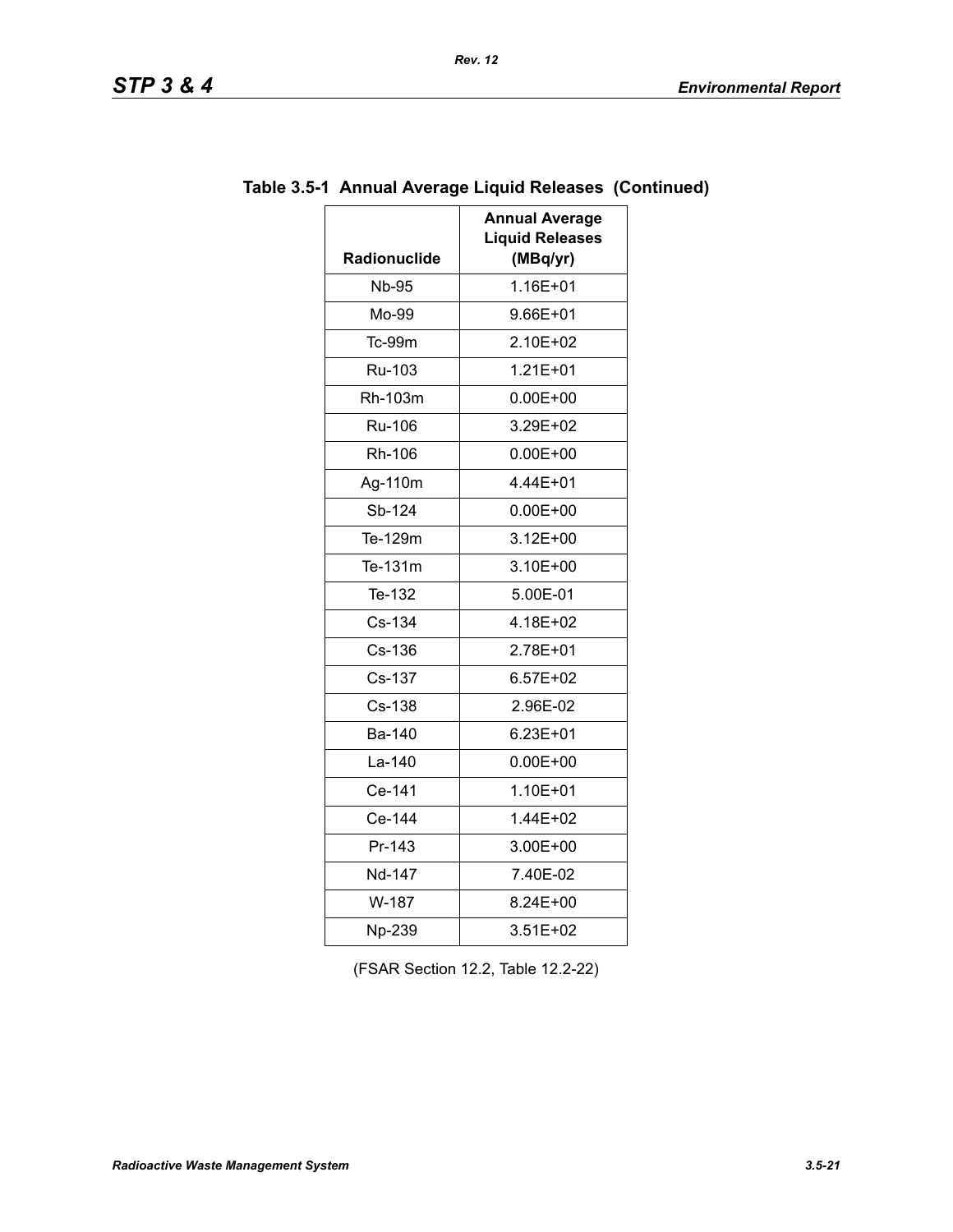| TD<br>SIF |  | œ |  |  |
|-----------|--|---|--|--|
|-----------|--|---|--|--|

| <b>Radionuclide</b> | <b>Annual Average</b><br><b>Liquid Releases</b><br>(MBq/yr) |  |
|---------------------|-------------------------------------------------------------|--|
| <b>Nb-95</b>        | 1.16E+01                                                    |  |
| Mo-99               | 9.66E+01                                                    |  |
| Tc-99m              | 2.10E+02                                                    |  |
| Ru-103              | $1.21E + 01$                                                |  |
| Rh-103m             | $0.00E + 00$                                                |  |
| <b>Ru-106</b>       | 3.29E+02                                                    |  |
| Rh-106              | $0.00E + 00$                                                |  |
| Ag-110m             | 4.44E+01                                                    |  |
| Sb-124              | $0.00E + 00$                                                |  |
| Te-129m             | $3.12E + 00$                                                |  |
| Te-131m             | 3.10E+00                                                    |  |
| Te-132              | 5.00E-01                                                    |  |
| Cs-134              | 4.18E+02                                                    |  |
| Cs-136              | 2.78E+01                                                    |  |
| Cs-137              | $6.57E + 02$                                                |  |
| Cs-138              | 2.96E-02                                                    |  |
| Ba-140              | 6.23E+01                                                    |  |
| La-140              | $0.00E + 00$                                                |  |
| Ce-141              | 1.10E+01                                                    |  |
| Ce-144              | 1.44E+02                                                    |  |
| Pr-143              | 3.00E+00                                                    |  |
| Nd-147              | 7.40E-02                                                    |  |
| W-187               | 8.24E+00                                                    |  |
| Np-239              | 3.51E+02                                                    |  |

# **Table 3.5-1 Annual Average Liquid Releases (Continued)**

(FSAR Section 12.2, Table 12.2-22)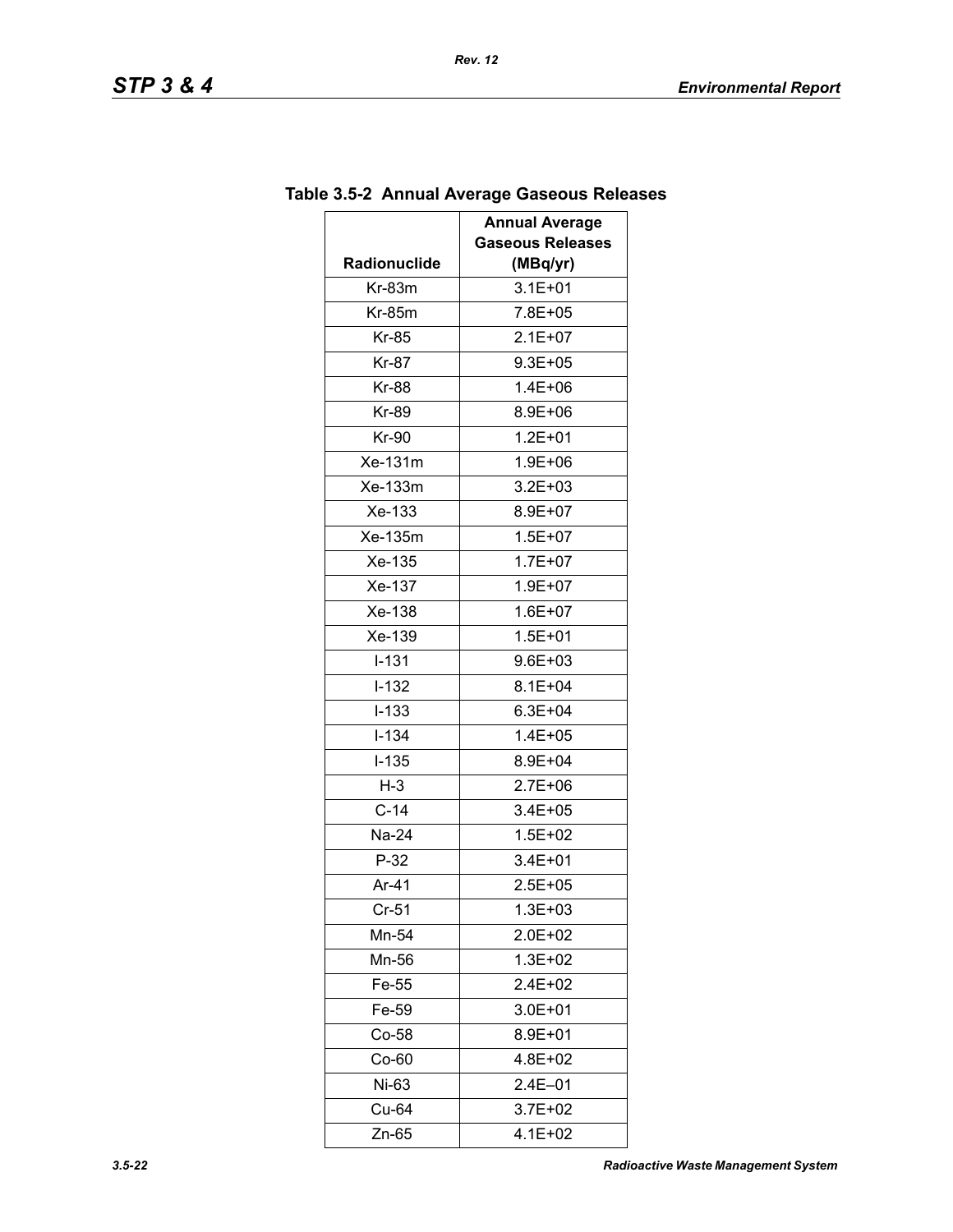| Radionuclide | <b>Annual Average</b><br><b>Gaseous Releases</b><br>(MBq/yr) |  |
|--------------|--------------------------------------------------------------|--|
| $Kr-83m$     | $3.1E + 01$                                                  |  |
| $Kr-85m$     | 7.8E+05                                                      |  |
| Kr-85        | $2.1E + 07$                                                  |  |
| <b>Kr-87</b> | $9.3E + 05$                                                  |  |
| <b>Kr-88</b> | $1.4E + 06$                                                  |  |
| Kr-89        | 8.9E+06                                                      |  |
| <b>Kr-90</b> | $1.2E + 01$                                                  |  |
| Xe-131m      | $1.9E + 06$                                                  |  |
| Xe-133m      | $3.2E + 03$                                                  |  |
| Xe-133       | 8.9E+07                                                      |  |
| Xe-135m      | $1.5E + 07$                                                  |  |
| Xe-135       | $1.7E + 07$                                                  |  |
| Xe-137       | $1.9E + 07$                                                  |  |
| Xe-138       | $1.6E + 07$                                                  |  |
| Xe-139       | $1.5E + 01$                                                  |  |
| $I - 131$    | 9.6E+03                                                      |  |
| $I-132$      | $8.1E + 04$                                                  |  |
| $I-133$      | $6.3E + 04$                                                  |  |
| $I - 134$    | $1.4E + 05$                                                  |  |
| $I-135$      | 8.9E+04                                                      |  |
| $H-3$        | $2.7E + 06$                                                  |  |
| $C-14$       | 3.4E+05                                                      |  |
| Na-24        | $1.5E + 02$                                                  |  |
| $P-32$       | $3.4E + 01$                                                  |  |
| Ar-41        | $2.5E + 05$                                                  |  |
| $Cr-51$      | 1.3E+03                                                      |  |
| Mn-54        | 2.0E+02                                                      |  |
| Mn-56        | $1.3E + 02$                                                  |  |
| Fe-55        | 2.4E+02                                                      |  |
| Fe-59        | $3.0E + 01$                                                  |  |
| $Co-58$      | 8.9E+01                                                      |  |
| $Co-60$      | 4.8E+02                                                      |  |
| Ni-63        | $2.4E - 01$                                                  |  |
| Cu-64        | 3.7E+02                                                      |  |
| Zn-65        | 4.1E+02                                                      |  |

# **Table 3.5-2 Annual Average Gaseous Releases**

*Rev. 12*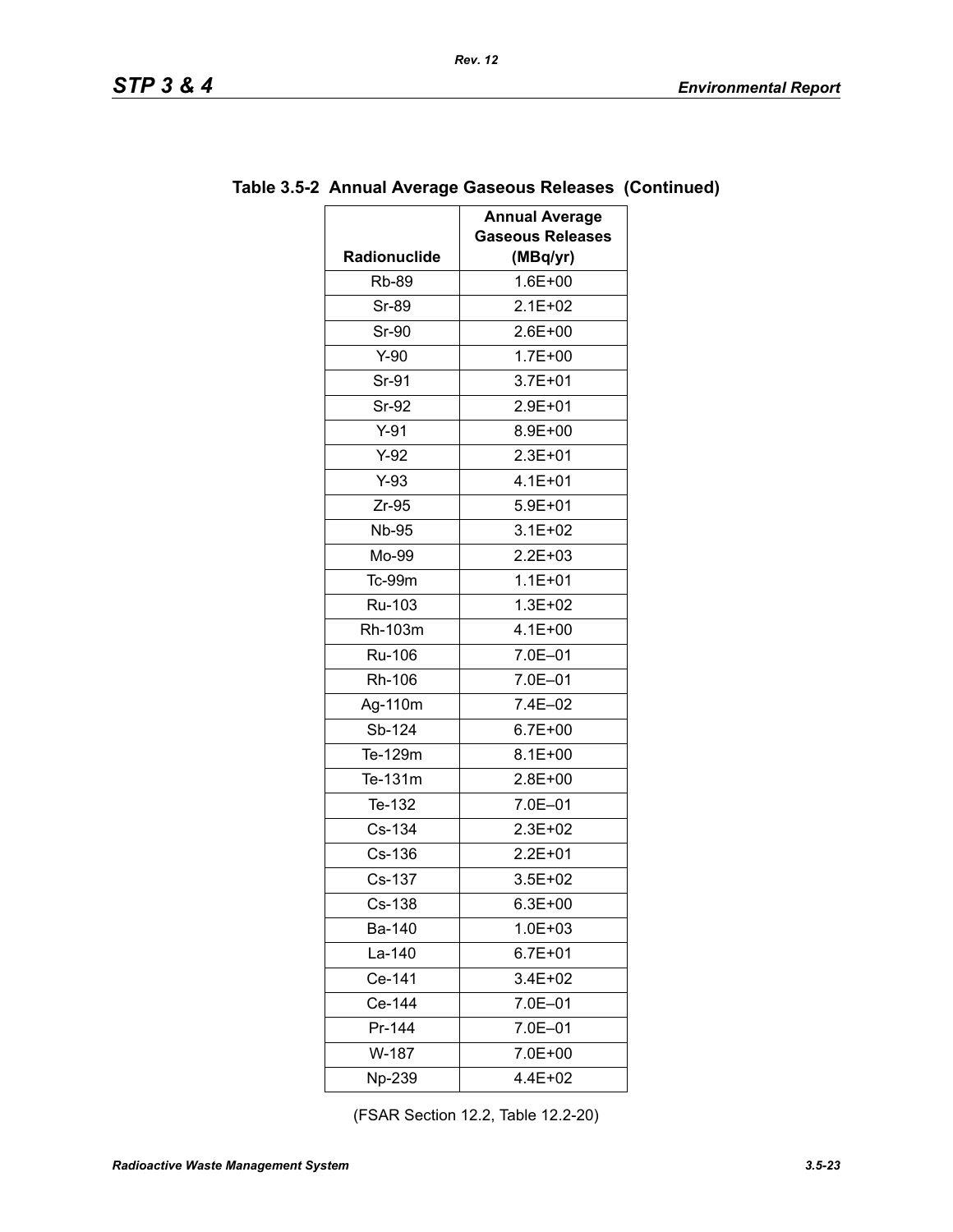| <b>Rb-89</b><br>$1.6E + 00$<br>$2.1E + 02$<br>Sr-89<br><b>Sr-90</b><br>2.6E+00<br>$1.7E + 00$<br>$Y-90$<br>Sr-91<br>$3.7E + 01$<br>Sr-92<br>2.9E+01<br>$Y-91$<br>8.9E+00<br>$Y-92$<br>$2.3E + 01$<br>4.1E+01<br>$Y-93$<br>$Zr-95$<br>$5.9E + 01$<br><b>Nb-95</b><br>$3.1E + 02$<br>Mo-99<br>$2.2E + 03$<br>$1.1E + 01$<br>Tc-99m<br>Ru-103<br>$1.3E + 02$<br>$4.1E + 00$<br>Rh-103m<br>7.0E-01<br>Ru-106<br>7.0E-01<br>Rh-106<br>7.4E-02<br>Ag-110m<br>Sb-124<br>$6.7E + 00$<br>Te-129m<br>$8.1E + 00$<br>Te-131m<br>2.8E+00<br>Te-132<br>7.0E-01<br>Cs-134<br>2.3E+02<br>$Cs-136$<br>$2.2E + 01$<br>Cs-137<br>3.5E+02<br>Cs-138<br>$6.3E + 00$<br>1.0E+03<br>Ba-140<br>$6.7E + 01$<br>La-140<br>Ce-141<br>3.4E+02<br>Ce-144<br>7.0E-01<br>Pr-144<br>7.0E-01<br>W-187<br>7.0E+00<br>4.4E+02<br>Np-239 | Radionuclide | <b>Annual Average</b><br><b>Gaseous Releases</b><br>(MBq/yr) |
|-------------------------------------------------------------------------------------------------------------------------------------------------------------------------------------------------------------------------------------------------------------------------------------------------------------------------------------------------------------------------------------------------------------------------------------------------------------------------------------------------------------------------------------------------------------------------------------------------------------------------------------------------------------------------------------------------------------------------------------------------------------------------------------------------------|--------------|--------------------------------------------------------------|
|                                                                                                                                                                                                                                                                                                                                                                                                                                                                                                                                                                                                                                                                                                                                                                                                       |              |                                                              |
|                                                                                                                                                                                                                                                                                                                                                                                                                                                                                                                                                                                                                                                                                                                                                                                                       |              |                                                              |
|                                                                                                                                                                                                                                                                                                                                                                                                                                                                                                                                                                                                                                                                                                                                                                                                       |              |                                                              |
|                                                                                                                                                                                                                                                                                                                                                                                                                                                                                                                                                                                                                                                                                                                                                                                                       |              |                                                              |
|                                                                                                                                                                                                                                                                                                                                                                                                                                                                                                                                                                                                                                                                                                                                                                                                       |              |                                                              |
|                                                                                                                                                                                                                                                                                                                                                                                                                                                                                                                                                                                                                                                                                                                                                                                                       |              |                                                              |
|                                                                                                                                                                                                                                                                                                                                                                                                                                                                                                                                                                                                                                                                                                                                                                                                       |              |                                                              |
|                                                                                                                                                                                                                                                                                                                                                                                                                                                                                                                                                                                                                                                                                                                                                                                                       |              |                                                              |
|                                                                                                                                                                                                                                                                                                                                                                                                                                                                                                                                                                                                                                                                                                                                                                                                       |              |                                                              |
|                                                                                                                                                                                                                                                                                                                                                                                                                                                                                                                                                                                                                                                                                                                                                                                                       |              |                                                              |
|                                                                                                                                                                                                                                                                                                                                                                                                                                                                                                                                                                                                                                                                                                                                                                                                       |              |                                                              |
|                                                                                                                                                                                                                                                                                                                                                                                                                                                                                                                                                                                                                                                                                                                                                                                                       |              |                                                              |
|                                                                                                                                                                                                                                                                                                                                                                                                                                                                                                                                                                                                                                                                                                                                                                                                       |              |                                                              |
|                                                                                                                                                                                                                                                                                                                                                                                                                                                                                                                                                                                                                                                                                                                                                                                                       |              |                                                              |
|                                                                                                                                                                                                                                                                                                                                                                                                                                                                                                                                                                                                                                                                                                                                                                                                       |              |                                                              |
|                                                                                                                                                                                                                                                                                                                                                                                                                                                                                                                                                                                                                                                                                                                                                                                                       |              |                                                              |
|                                                                                                                                                                                                                                                                                                                                                                                                                                                                                                                                                                                                                                                                                                                                                                                                       |              |                                                              |
|                                                                                                                                                                                                                                                                                                                                                                                                                                                                                                                                                                                                                                                                                                                                                                                                       |              |                                                              |
|                                                                                                                                                                                                                                                                                                                                                                                                                                                                                                                                                                                                                                                                                                                                                                                                       |              |                                                              |
|                                                                                                                                                                                                                                                                                                                                                                                                                                                                                                                                                                                                                                                                                                                                                                                                       |              |                                                              |
|                                                                                                                                                                                                                                                                                                                                                                                                                                                                                                                                                                                                                                                                                                                                                                                                       |              |                                                              |
|                                                                                                                                                                                                                                                                                                                                                                                                                                                                                                                                                                                                                                                                                                                                                                                                       |              |                                                              |
|                                                                                                                                                                                                                                                                                                                                                                                                                                                                                                                                                                                                                                                                                                                                                                                                       |              |                                                              |
|                                                                                                                                                                                                                                                                                                                                                                                                                                                                                                                                                                                                                                                                                                                                                                                                       |              |                                                              |
|                                                                                                                                                                                                                                                                                                                                                                                                                                                                                                                                                                                                                                                                                                                                                                                                       |              |                                                              |
|                                                                                                                                                                                                                                                                                                                                                                                                                                                                                                                                                                                                                                                                                                                                                                                                       |              |                                                              |
|                                                                                                                                                                                                                                                                                                                                                                                                                                                                                                                                                                                                                                                                                                                                                                                                       |              |                                                              |
|                                                                                                                                                                                                                                                                                                                                                                                                                                                                                                                                                                                                                                                                                                                                                                                                       |              |                                                              |
|                                                                                                                                                                                                                                                                                                                                                                                                                                                                                                                                                                                                                                                                                                                                                                                                       |              |                                                              |
|                                                                                                                                                                                                                                                                                                                                                                                                                                                                                                                                                                                                                                                                                                                                                                                                       |              |                                                              |
|                                                                                                                                                                                                                                                                                                                                                                                                                                                                                                                                                                                                                                                                                                                                                                                                       |              |                                                              |
|                                                                                                                                                                                                                                                                                                                                                                                                                                                                                                                                                                                                                                                                                                                                                                                                       |              |                                                              |
|                                                                                                                                                                                                                                                                                                                                                                                                                                                                                                                                                                                                                                                                                                                                                                                                       |              |                                                              |

# **Table 3.5-2 Annual Average Gaseous Releases (Continued)**

*Rev. 12*

(FSAR Section 12.2, Table 12.2-20)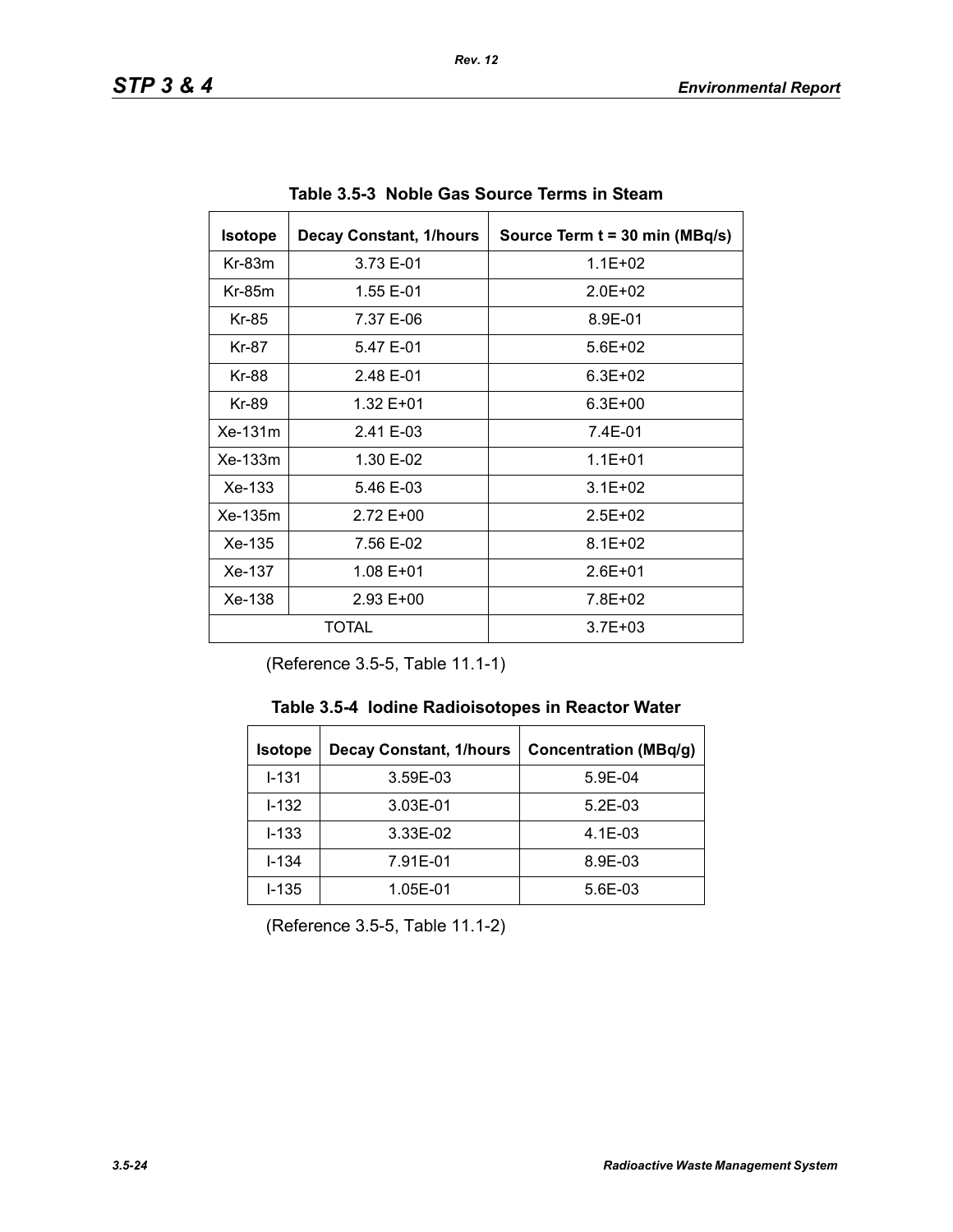| <b>Isotope</b> | <b>Decay Constant, 1/hours</b> | Source Term t = 30 min (MBq/s) |
|----------------|--------------------------------|--------------------------------|
| $Kr-83m$       | 3.73 E-01                      | $1.1E + 02$                    |
| $Kr-85m$       | 1.55 E-01                      | $2.0F + 02$                    |
| Kr-85          | 7.37 E-06                      | 8.9E-01                        |
| Kr-87          | 5.47 E-01                      | $5.6E + 02$                    |
| Kr-88          | 2.48 E-01                      | $6.3E + 02$                    |
| Kr-89          | 1.32 E+01                      | $6.3E + 00$                    |
| $Xe-131m$      | 2.41 E-03                      | 7.4E-01                        |
| $Xe-133m$      | 1.30 E-02                      | $1.1E + 01$                    |
| Xe-133         | 5.46 E-03                      | $3.1E + 02$                    |
| $Xe-135m$      | 2.72 E+00                      | $2.5E + 02$                    |
| Xe-135         | 7.56 E-02                      | $8.1E + 02$                    |
| Xe-137         | 1.08 E+01                      | $2.6E + 01$                    |
| $Xe-138$       | $2.93 E+00$                    | 7.8E+02                        |
|                | TOTAL                          | $3.7E + 03$                    |

**Table 3.5-3 Noble Gas Source Terms in Steam** 

(Reference 3.5-5, Table 11.1-1)

| <b>Isotope</b> | <b>Decay Constant, 1/hours</b> | <b>Concentration (MBq/g)</b> |
|----------------|--------------------------------|------------------------------|
| $I - 131$      | 3.59E-03                       | 5.9E-04                      |
| $1 - 132$      | 3.03E-01                       | $5.2E-03$                    |
| $I - 133$      | 3.33E-02                       | $4.1E-03$                    |
| $I - 134$      | 7.91E-01                       | 8.9E-03                      |
| $I - 135$      | 1.05E-01                       | 5.6E-03                      |

(Reference 3.5-5, Table 11.1-2)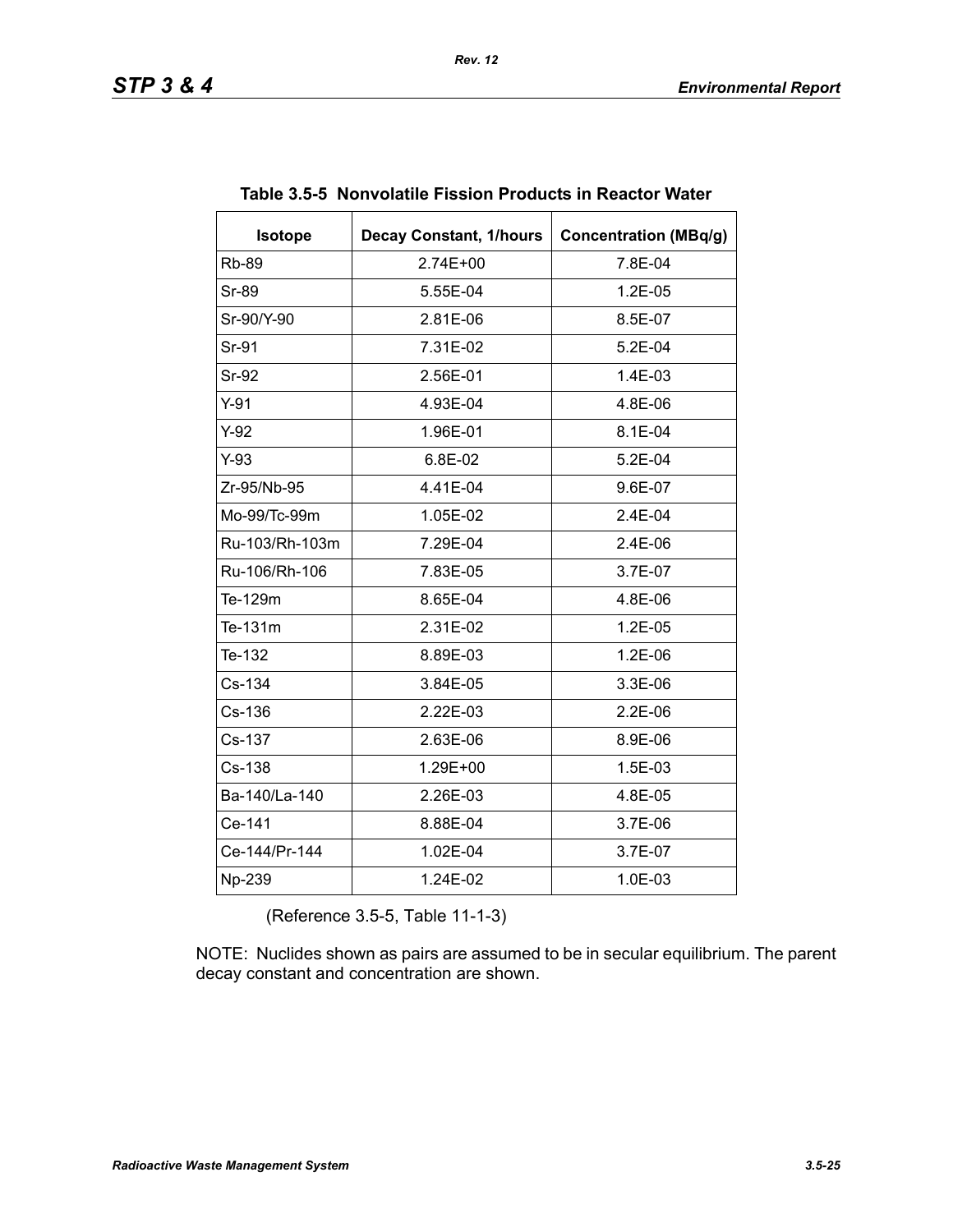| <b>Isotope</b> | <b>Decay Constant, 1/hours</b> | <b>Concentration (MBq/g)</b> |
|----------------|--------------------------------|------------------------------|
| <b>Rb-89</b>   | 2.74E+00                       | 7.8E-04                      |
| <b>Sr-89</b>   | 5.55E-04                       | 1.2E-05                      |
| Sr-90/Y-90     | 2.81E-06                       | 8.5E-07                      |
| Sr-91          | 7.31E-02                       | 5.2E-04                      |
| <b>Sr-92</b>   | 2.56E-01                       | 1.4E-03                      |
| $Y-91$         | 4.93E-04                       | 4.8E-06                      |
| $Y-92$         | 1.96E-01                       | 8.1E-04                      |
| $Y-93$         | 6.8E-02                        | 5.2E-04                      |
| Zr-95/Nb-95    | 4.41E-04                       | 9.6E-07                      |
| Mo-99/Tc-99m   | 1.05E-02                       | $2.4E-04$                    |
| Ru-103/Rh-103m | 7.29E-04                       | 2.4E-06                      |
| Ru-106/Rh-106  | 7.83E-05                       | 3.7E-07                      |
| Te-129m        | 8.65E-04                       | 4.8E-06                      |
| Te-131m        | 2.31E-02                       | $1.2E-0.5$                   |
| Te-132         | 8.89E-03                       | 1.2E-06                      |
| Cs-134         | 3.84E-05                       | 3.3E-06                      |
| Cs-136         | 2.22E-03                       | $2.2E-06$                    |
| Cs-137         | 2.63E-06                       | 8.9E-06                      |
| Cs-138         | 1.29E+00                       | 1.5E-03                      |
| Ba-140/La-140  | 2.26E-03                       | 4.8E-05                      |
| Ce-141         | 8.88E-04                       | 3.7E-06                      |
| Ce-144/Pr-144  | 1.02E-04                       | 3.7E-07                      |
| Np-239         | 1.24E-02                       | 1.0E-03                      |

|  |  | Table 3.5-5 Nonvolatile Fission Products in Reactor Water |
|--|--|-----------------------------------------------------------|
|  |  |                                                           |

(Reference 3.5-5, Table 11-1-3)

NOTE: Nuclides shown as pairs are assumed to be in secular equilibrium. The parent decay constant and concentration are shown.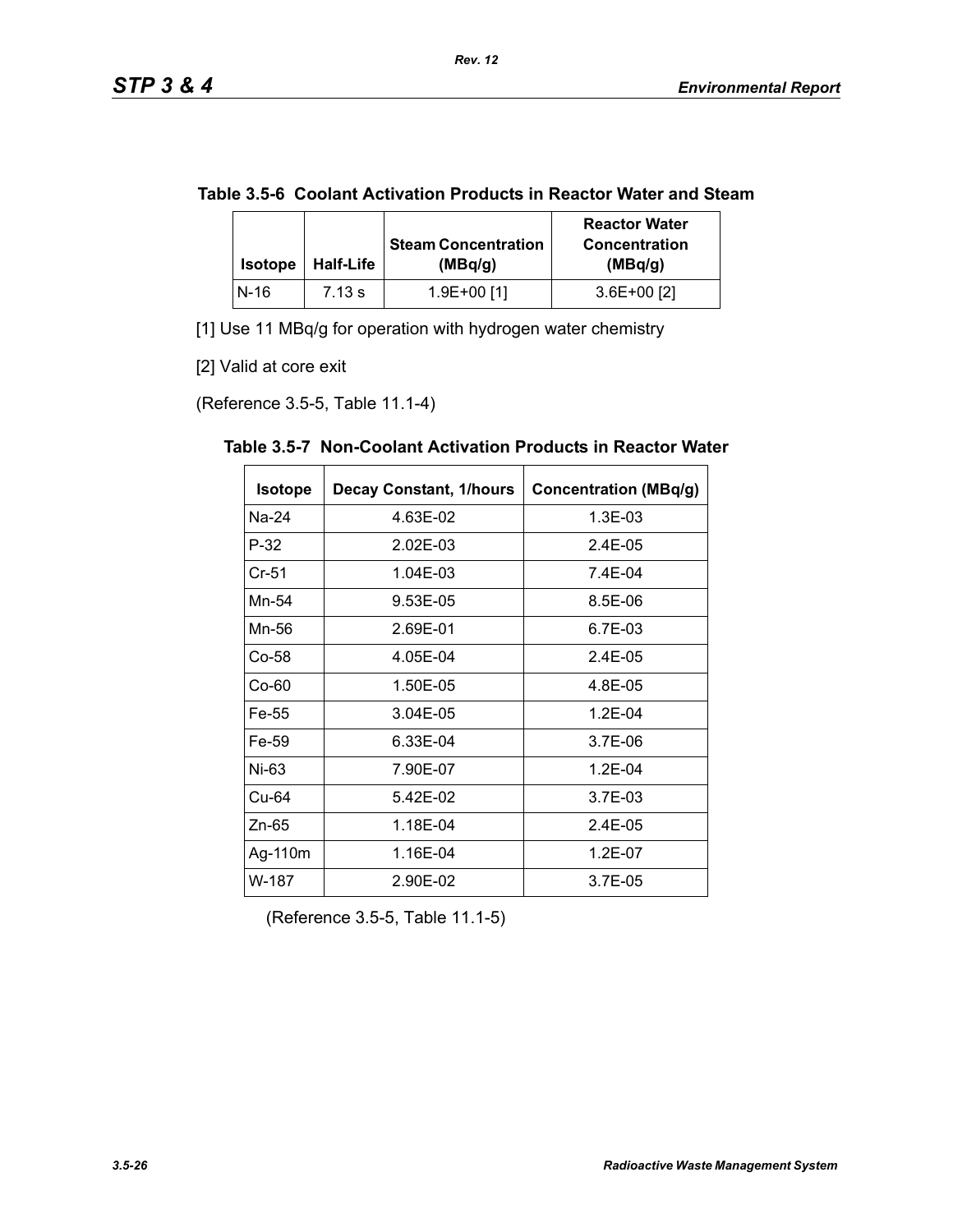|  | Table 3.5-6 Coolant Activation Products in Reactor Water and Steam |
|--|--------------------------------------------------------------------|
|--|--------------------------------------------------------------------|

| <b>Isotope</b> | <b>Half-Life</b> | <b>Steam Concentration</b><br>(MBq/q) | <b>Reactor Water</b><br><b>Concentration</b><br>(MBq/g) |
|----------------|------------------|---------------------------------------|---------------------------------------------------------|
| N-16           | 7.13 s           | 1.9E+00 [1]                           | $3.6E+00$ [2]                                           |

[1] Use 11 MBq/g for operation with hydrogen water chemistry

[2] Valid at core exit

(Reference 3.5-5, Table 11.1-4)

| <b>Isotope</b> | <b>Decay Constant, 1/hours</b> | <b>Concentration (MBq/g)</b> |
|----------------|--------------------------------|------------------------------|
| Na-24          | 4.63E-02                       | 1.3E-03                      |
| P-32           | 2.02E-03                       | $2.4E-0.5$                   |
| $Cr-51$        | 1.04E-03                       | 7.4E-04                      |
| Mn-54          | 9.53E-05                       | 8.5E-06                      |
| Mn-56          | 2.69E-01                       | 6.7E-03                      |
| Co-58          | 4.05E-04                       | 2.4E-05                      |
| $Co-60$        | 1.50E-05                       | 4.8E-05                      |
| Fe-55          | 3.04E-05                       | $1.2E - 04$                  |
| Fe-59          | 6.33E-04                       | 3.7E-06                      |
| Ni-63          | 7.90E-07                       | $1.2E - 04$                  |
| Cu-64          | 5.42E-02                       | 3.7E-03                      |
| Zn-65          | 1.18E-04                       | 2.4E-05                      |
| Ag-110m        | 1.16E-04                       | $1.2E - 07$                  |
| W-187          | 2.90E-02                       | 3.7E-05                      |

**Table 3.5-7 Non-Coolant Activation Products in Reactor Water** 

(Reference 3.5-5, Table 11.1-5)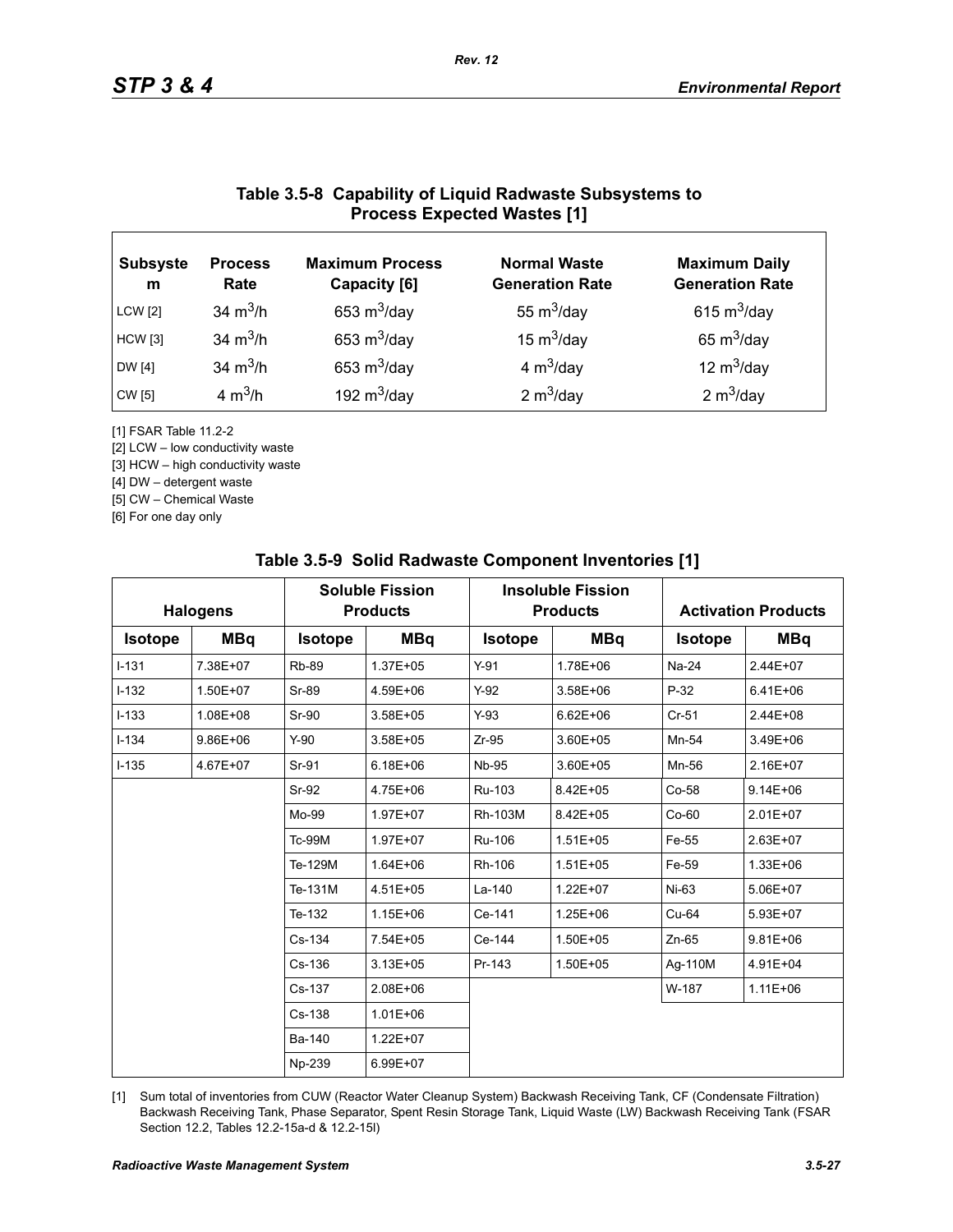# **Table 3.5-8 Capability of Liquid Radwaste Subsystems to Process Expected Wastes [1]**

| <b>Subsyste</b><br>m | <b>Process</b><br>Rate | <b>Maximum Process</b><br>Capacity [6] | <b>Normal Waste</b><br><b>Generation Rate</b> | <b>Maximum Daily</b><br><b>Generation Rate</b> |
|----------------------|------------------------|----------------------------------------|-----------------------------------------------|------------------------------------------------|
| <b>LCW</b> [2]       | 34 $m^3/h$             | 653 $m^3$ /day                         | 55 $m^3$ /day                                 | 615 $m^3$ /day                                 |
| <b>HCW</b> [3]       | 34 $m^3/h$             | 653 $m^3$ /day                         | 15 $m^3$ /day                                 | 65 $m^3$ /day                                  |
| DW [4]               | 34 $m^3/h$             | 653 $m^3$ /day                         | 4 $m^3$ /day                                  | 12 $m^3$ /day                                  |
| CW [5]               | 4 $m^3/h$              | 192 $m^3$ /day                         | 2 $m^3$ /day                                  | 2 $m^3$ /day                                   |

[1] FSAR Table 11.2-2

[2] LCW – low conductivity waste

[3] HCW – high conductivity waste

[4] DW – detergent waste

[5] CW – Chemical Waste

[6] For one day only

|                | <b>Halogens</b> |                | <b>Soluble Fission</b><br><b>Products</b> |                | <b>Insoluble Fission</b><br><b>Products</b> |                | <b>Activation Products</b> |
|----------------|-----------------|----------------|-------------------------------------------|----------------|---------------------------------------------|----------------|----------------------------|
| <b>Isotope</b> | <b>MBq</b>      | <b>Isotope</b> | <b>MBq</b>                                | <b>Isotope</b> | <b>MBq</b>                                  | <b>Isotope</b> | <b>MBq</b>                 |
| $I-131$        | 7.38E+07        | <b>Rb-89</b>   | 1.37E+05                                  | $Y-91$         | 1.78E+06                                    | Na-24          | 2.44E+07                   |
| $I-132$        | 1.50E+07        | Sr-89          | 4.59E+06                                  | $Y-92$         | 3.58E+06                                    | $P-32$         | $6.41E + 06$               |
| $I-133$        | 1.08E+08        | Sr-90          | $3.58E + 05$                              | $Y-93$         | $6.62E + 06$                                | $Cr-51$        | 2.44E+08                   |
| $I - 134$      | $9.86E + 06$    | $Y-90$         | 3.58E+05                                  | $Zr-95$        | 3.60E+05                                    | Mn-54          | 3.49E+06                   |
| $I - 135$      | 4.67E+07        | Sr-91          | $6.18E + 06$                              | <b>Nb-95</b>   | 3.60E+05                                    | Mn-56          | 2.16E+07                   |
|                |                 | Sr-92          | 4.75E+06                                  | Ru-103         | 8.42E+05                                    | Co-58          | $9.14E + 06$               |
|                |                 | Mo-99          | 1.97E+07                                  | Rh-103M        | 8.42E+05                                    | $Co-60$        | 2.01E+07                   |
|                |                 | <b>Tc-99M</b>  | 1.97E+07                                  | Ru-106         | $1.51E + 05$                                | Fe-55          | 2.63E+07                   |
|                |                 | Te-129M        | 1.64E+06                                  | Rh-106         | $1.51E + 05$                                | Fe-59          | 1.33E+06                   |
|                |                 | Te-131M        | 4.51E+05                                  | La-140         | $1.22E + 07$                                | $Ni-63$        | 5.06E+07                   |
|                |                 | Te-132         | $1.15E + 06$                              | Ce-141         | 1.25E+06                                    | $Cu-64$        | 5.93E+07                   |
|                |                 | Cs-134         | 7.54E+05                                  | Ce-144         | 1.50E+05                                    | $Zn-65$        | $9.81E + 06$               |
|                |                 | Cs-136         | $3.13E + 05$                              | Pr-143         | 1.50E+05                                    | Ag-110M        | 4.91E+04                   |
|                |                 | Cs-137         | 2.08E+06                                  |                |                                             | W-187          | $1.11E + 06$               |
|                |                 | $Cs - 138$     | $1.01E + 06$                              |                |                                             |                |                            |
|                |                 | Ba-140         | 1.22E+07                                  |                |                                             |                |                            |
|                |                 | Np-239         | 6.99E+07                                  |                |                                             |                |                            |

### **Table 3.5-9 Solid Radwaste Component Inventories [1]**

[1] Sum total of inventories from CUW (Reactor Water Cleanup System) Backwash Receiving Tank, CF (Condensate Filtration) Backwash Receiving Tank, Phase Separator, Spent Resin Storage Tank, Liquid Waste (LW) Backwash Receiving Tank (FSAR Section 12.2, Tables 12.2-15a-d & 12.2-15l)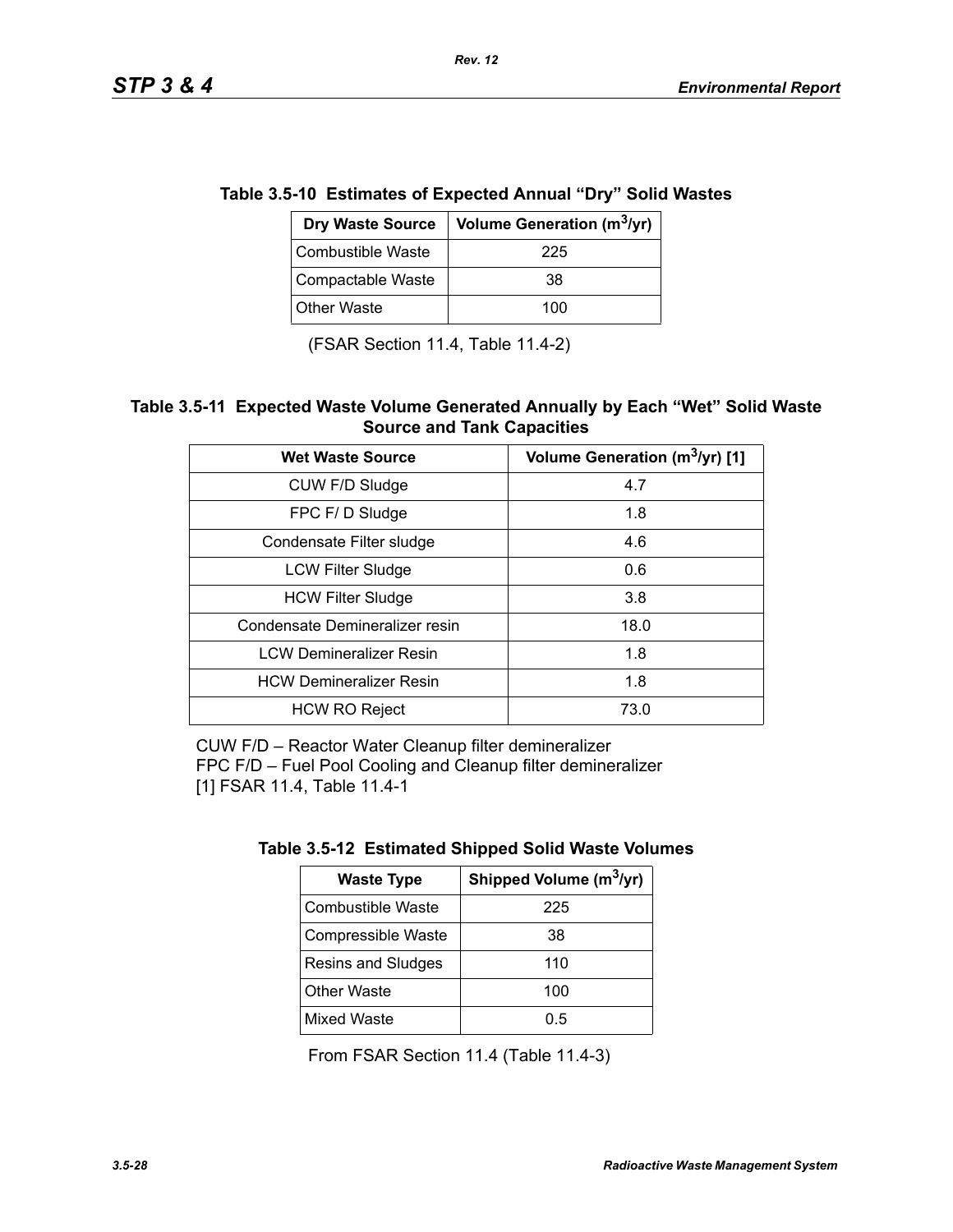| e 3.5-10 ESUMALES OF EXPECTED AMMALE DTY SOM VVAS |                                                           |  |  |  |
|---------------------------------------------------|-----------------------------------------------------------|--|--|--|
|                                                   | Dry Waste Source   Volume Generation (m <sup>3</sup> /yr) |  |  |  |
| <b>Combustible Waste</b>                          | 225                                                       |  |  |  |
| Compactable Waste                                 | 38                                                        |  |  |  |
| <b>Other Waste</b>                                | 100                                                       |  |  |  |

**Table 3.5-10 Estimates of Expected Annual "Dry" Solid Wastes** 

*Rev. 12*

(FSAR Section 11.4, Table 11.4-2)

### **Table 3.5-11 Expected Waste Volume Generated Annually by Each "Wet" Solid Waste Source and Tank Capacities**

| <b>Wet Waste Source</b>        | Volume Generation (m <sup>3</sup> /yr) [1] |
|--------------------------------|--------------------------------------------|
| CUW F/D Sludge                 | 4.7                                        |
| FPC F/D Sludge                 | 1.8                                        |
| Condensate Filter sludge       | 4.6                                        |
| <b>LCW Filter Sludge</b>       | 0.6                                        |
| <b>HCW Filter Sludge</b>       | 3.8                                        |
| Condensate Demineralizer resin | 18.0                                       |
| <b>LCW Demineralizer Resin</b> | 1.8                                        |
| <b>HCW Demineralizer Resin</b> | 1.8                                        |
| <b>HCW RO Reject</b>           | 73.0                                       |

CUW F/D – Reactor Water Cleanup filter demineralizer FPC F/D – Fuel Pool Cooling and Cleanup filter demineralizer [1] FSAR 11.4, Table 11.4-1

| <b>Waste Type</b>        | Shipped Volume (m <sup>3</sup> /yr) |  |
|--------------------------|-------------------------------------|--|
| <b>Combustible Waste</b> | 225                                 |  |
| Compressible Waste       | 38                                  |  |
| Resins and Sludges       | 110                                 |  |
| <b>Other Waste</b>       | 100                                 |  |
| <b>Mixed Waste</b>       | 0.5                                 |  |

From FSAR Section 11.4 (Table 11.4-3)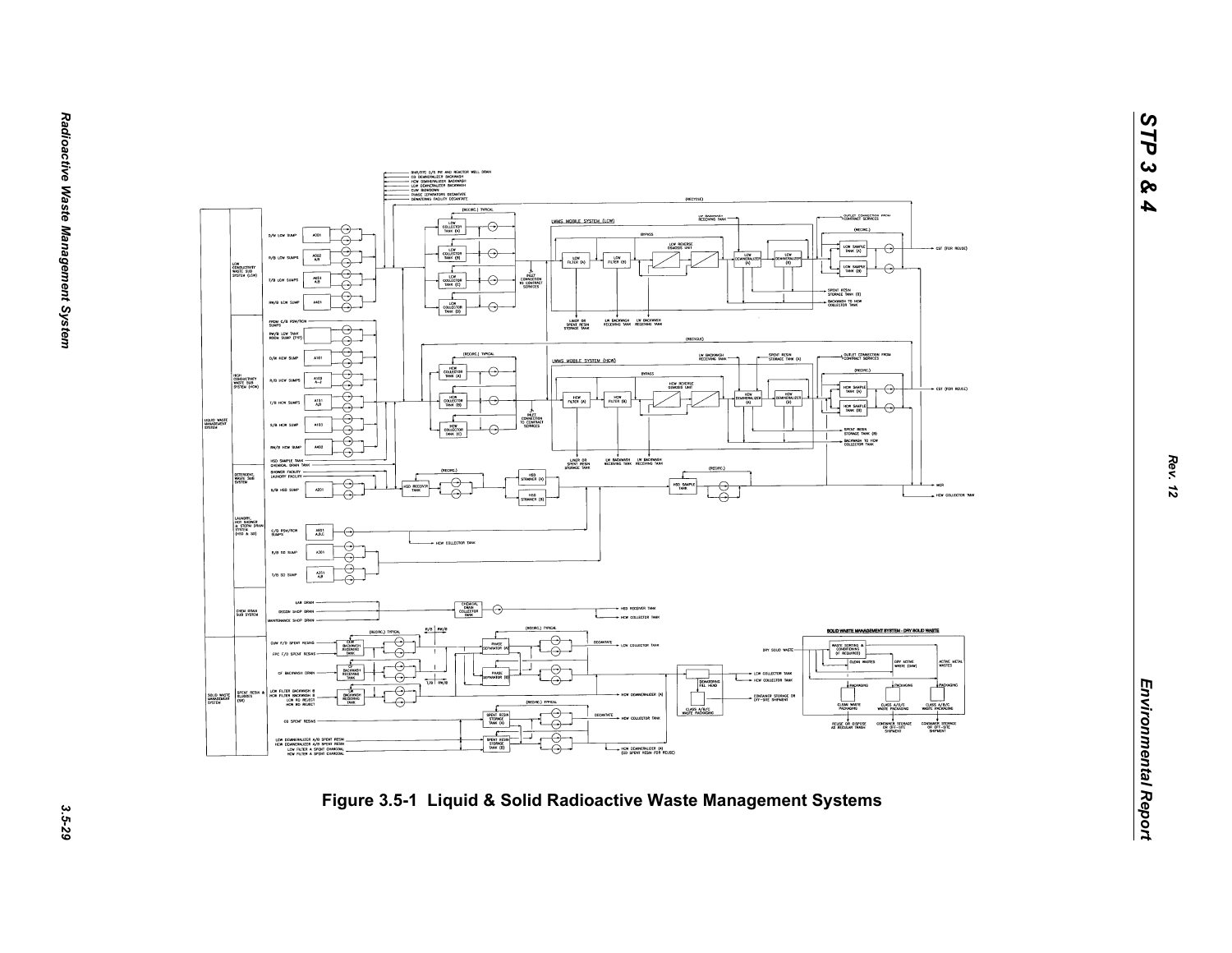

*STP 3 & 4*